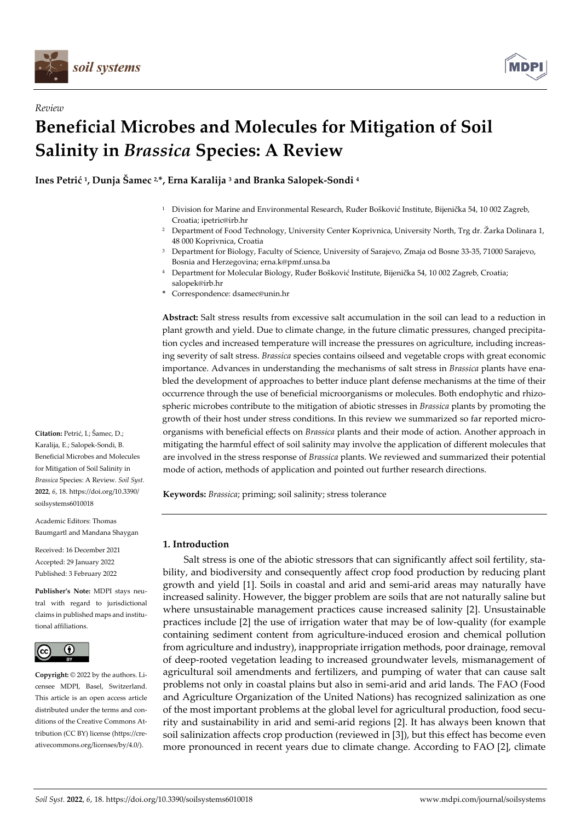

*Review* 



# **Beneficial Microbes and Molecules for Mitigation of Soil Salinity in** *Brassica* **Species: A Review**

**Ines Petrić 1, Dunja Šamec 2,\*, Erna Karalija 3 and Branka Salopek-Sondi 4**

- 1 Division for Marine and Environmental Research, Ruđer Bošković Institute, Bijenička 54, 10 002 Zagreb, Croatia; ipetric@irb.hr
- 2 Department of Food Technology, University Center Koprivnica, University North, Trg dr. Žarka Dolinara 1, 48 000 Koprivnica, Croatia
- 3 Department for Biology, Faculty of Science, University of Sarajevo, Zmaja od Bosne 33-35, 71000 Sarajevo, Bosnia and Herzegovina; erna.k@pmf.unsa.ba
- 4 Department for Molecular Biology, Ruđer Bošković Institute, Bijenička 54, 10 002 Zagreb, Croatia; salopek@irb.hr
- **\*** Correspondence: dsamec@unin.hr

**Abstract:** Salt stress results from excessive salt accumulation in the soil can lead to a reduction in plant growth and yield. Due to climate change, in the future climatic pressures, changed precipitation cycles and increased temperature will increase the pressures on agriculture, including increasing severity of salt stress. *Brassica* species contains oilseed and vegetable crops with great economic importance. Advances in understanding the mechanisms of salt stress in *Brassica* plants have enabled the development of approaches to better induce plant defense mechanisms at the time of their occurrence through the use of beneficial microorganisms or molecules. Both endophytic and rhizospheric microbes contribute to the mitigation of abiotic stresses in *Brassica* plants by promoting the growth of their host under stress conditions. In this review we summarized so far reported microorganisms with beneficial effects on *Brassica* plants and their mode of action. Another approach in mitigating the harmful effect of soil salinity may involve the application of different molecules that are involved in the stress response of *Brassica* plants. We reviewed and summarized their potential mode of action, methods of application and pointed out further research directions.

**Keywords:** *Brassica*; priming; soil salinity; stress tolerance

# **1. Introduction**

Salt stress is one of the abiotic stressors that can significantly affect soil fertility, stability, and biodiversity and consequently affect crop food production by reducing plant growth and yield [1]. Soils in coastal and arid and semi-arid areas may naturally have increased salinity. However, the bigger problem are soils that are not naturally saline but where unsustainable management practices cause increased salinity [2]. Unsustainable practices include [2] the use of irrigation water that may be of low-quality (for example containing sediment content from agriculture-induced erosion and chemical pollution from agriculture and industry), inappropriate irrigation methods, poor drainage, removal of deep-rooted vegetation leading to increased groundwater levels, mismanagement of agricultural soil amendments and fertilizers, and pumping of water that can cause salt problems not only in coastal plains but also in semi-arid and arid lands. The FAO (Food and Agriculture Organization of the United Nations) has recognized salinization as one of the most important problems at the global level for agricultural production, food security and sustainability in arid and semi-arid regions [2]. It has always been known that soil salinization affects crop production (reviewed in [3]), but this effect has become even more pronounced in recent years due to climate change. According to FAO [2], climate

**Citation:** Petrić, I.; Šamec, D.; Karalija, E.; Salopek-Sondi, B. Beneficial Microbes and Molecules for Mitigation of Soil Salinity in *Brassica* Species: A Review. *Soil Syst.*  **2022**, *6*, 18. https://doi.org/10.3390/ soilsystems6010018

Academic Editors: Thomas Baumgartl and Mandana Shaygan

Received: 16 December 2021 Accepted: 29 January 2022 Published: 3 February 2022

**Publisher's Note:** MDPI stays neutral with regard to jurisdictional claims in published maps and institutional affiliations.



**Copyright:** © 2022 by the authors. Licensee MDPI, Basel, Switzerland. This article is an open access article distributed under the terms and conditions of the Creative Commons Attribution (CC BY) license (https://creativecommons.org/licenses/by/4.0/).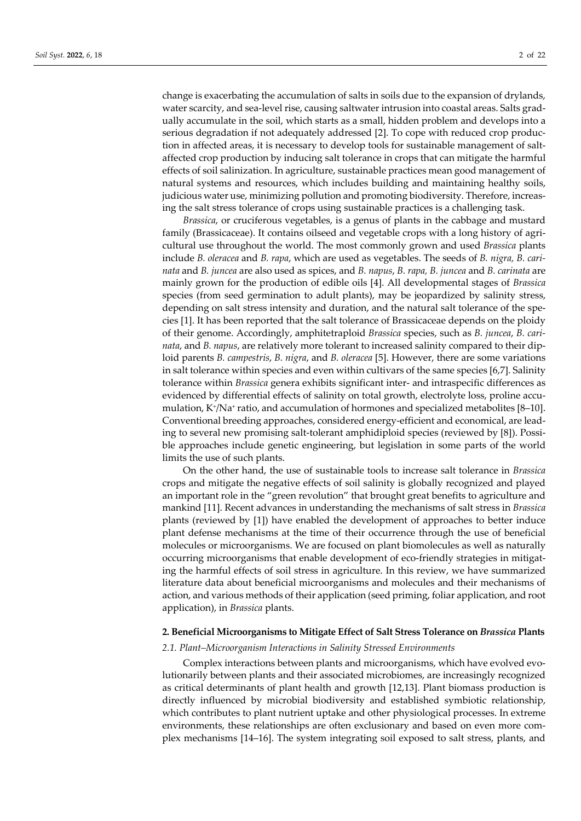change is exacerbating the accumulation of salts in soils due to the expansion of drylands, water scarcity, and sea-level rise, causing saltwater intrusion into coastal areas. Salts gradually accumulate in the soil, which starts as a small, hidden problem and develops into a serious degradation if not adequately addressed [2]. To cope with reduced crop production in affected areas, it is necessary to develop tools for sustainable management of saltaffected crop production by inducing salt tolerance in crops that can mitigate the harmful effects of soil salinization. In agriculture, sustainable practices mean good management of natural systems and resources, which includes building and maintaining healthy soils, judicious water use, minimizing pollution and promoting biodiversity. Therefore, increasing the salt stress tolerance of crops using sustainable practices is a challenging task.

*Brassica*, or cruciferous vegetables, is a genus of plants in the cabbage and mustard family (Brassicaceae). It contains oilseed and vegetable crops with a long history of agricultural use throughout the world. The most commonly grown and used *Brassica* plants include *B. oleracea* and *B. rapa*, which are used as vegetables. The seeds of *B. nigra, B. carinata* and *B. juncea* are also used as spices, and *B. napus*, *B. rapa, B. juncea* and *B. carinata* are mainly grown for the production of edible oils [4]. All developmental stages of *Brassica* species (from seed germination to adult plants), may be jeopardized by salinity stress, depending on salt stress intensity and duration, and the natural salt tolerance of the species [1]. It has been reported that the salt tolerance of Brassicaceae depends on the ploidy of their genome. Accordingly, amphitetraploid *Brassica* species, such as *B. juncea*, *B. carinata*, and *B. napus*, are relatively more tolerant to increased salinity compared to their diploid parents *B. campestris*, *B. nigra*, and *B. oleracea* [5]. However, there are some variations in salt tolerance within species and even within cultivars of the same species [6,7]. Salinity tolerance within *Brassica* genera exhibits significant inter- and intraspecific differences as evidenced by differential effects of salinity on total growth, electrolyte loss, proline accumulation, K+/Na+ ratio, and accumulation of hormones and specialized metabolites [8–10]. Conventional breeding approaches, considered energy-efficient and economical, are leading to several new promising salt-tolerant amphidiploid species (reviewed by [8]). Possible approaches include genetic engineering, but legislation in some parts of the world limits the use of such plants.

On the other hand, the use of sustainable tools to increase salt tolerance in *Brassica* crops and mitigate the negative effects of soil salinity is globally recognized and played an important role in the "green revolution" that brought great benefits to agriculture and mankind [11]. Recent advances in understanding the mechanisms of salt stress in *Brassica* plants (reviewed by [1]) have enabled the development of approaches to better induce plant defense mechanisms at the time of their occurrence through the use of beneficial molecules or microorganisms. We are focused on plant biomolecules as well as naturally occurring microorganisms that enable development of eco-friendly strategies in mitigating the harmful effects of soil stress in agriculture. In this review, we have summarized literature data about beneficial microorganisms and molecules and their mechanisms of action, and various methods of their application (seed priming, foliar application, and root application), in *Brassica* plants.

# **2. Beneficial Microorganisms to Mitigate Effect of Salt Stress Tolerance on** *Brassica* **Plants**

### *2.1. Plant–Microorganism Interactions in Salinity Stressed Environments*

Complex interactions between plants and microorganisms, which have evolved evolutionarily between plants and their associated microbiomes, are increasingly recognized as critical determinants of plant health and growth [12,13]. Plant biomass production is directly influenced by microbial biodiversity and established symbiotic relationship, which contributes to plant nutrient uptake and other physiological processes. In extreme environments, these relationships are often exclusionary and based on even more complex mechanisms [14–16]. The system integrating soil exposed to salt stress, plants, and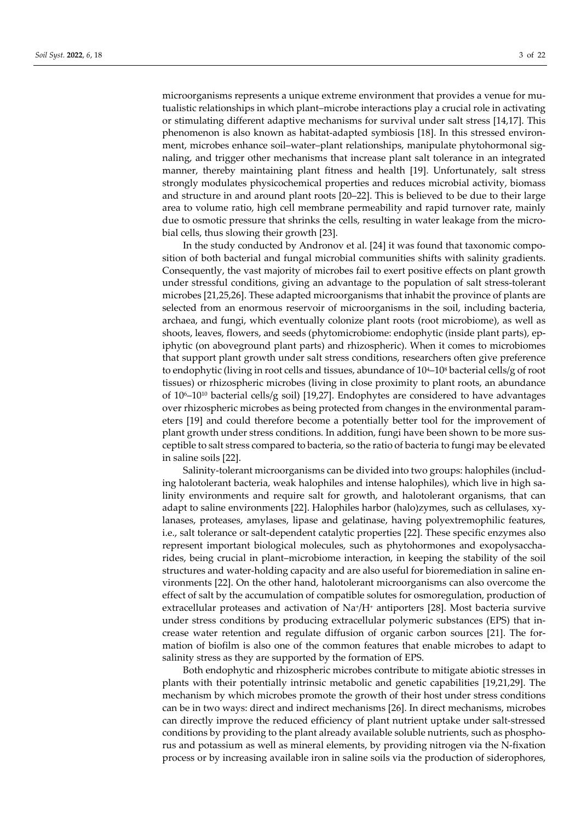microorganisms represents a unique extreme environment that provides a venue for mutualistic relationships in which plant–microbe interactions play a crucial role in activating or stimulating different adaptive mechanisms for survival under salt stress [14,17]. This phenomenon is also known as habitat-adapted symbiosis [18]. In this stressed environment, microbes enhance soil–water–plant relationships, manipulate phytohormonal signaling, and trigger other mechanisms that increase plant salt tolerance in an integrated manner, thereby maintaining plant fitness and health [19]. Unfortunately, salt stress strongly modulates physicochemical properties and reduces microbial activity, biomass and structure in and around plant roots [20–22]. This is believed to be due to their large area to volume ratio, high cell membrane permeability and rapid turnover rate, mainly due to osmotic pressure that shrinks the cells, resulting in water leakage from the microbial cells, thus slowing their growth [23].

In the study conducted by Andronov et al. [24] it was found that taxonomic composition of both bacterial and fungal microbial communities shifts with salinity gradients. Consequently, the vast majority of microbes fail to exert positive effects on plant growth under stressful conditions, giving an advantage to the population of salt stress-tolerant microbes [21,25,26]. These adapted microorganisms that inhabit the province of plants are selected from an enormous reservoir of microorganisms in the soil, including bacteria, archaea, and fungi, which eventually colonize plant roots (root microbiome), as well as shoots, leaves, flowers, and seeds (phytomicrobiome: endophytic (inside plant parts), epiphytic (on aboveground plant parts) and rhizospheric). When it comes to microbiomes that support plant growth under salt stress conditions, researchers often give preference to endophytic (living in root cells and tissues, abundance of  $10^{4}$ – $10^{8}$  bacterial cells/g of root tissues) or rhizospheric microbes (living in close proximity to plant roots, an abundance of  $10^{6}-10^{10}$  bacterial cells/g soil) [19,27]. Endophytes are considered to have advantages over rhizospheric microbes as being protected from changes in the environmental parameters [19] and could therefore become a potentially better tool for the improvement of plant growth under stress conditions. In addition, fungi have been shown to be more susceptible to salt stress compared to bacteria, so the ratio of bacteria to fungi may be elevated in saline soils [22].

Salinity-tolerant microorganisms can be divided into two groups: halophiles (including halotolerant bacteria, weak halophiles and intense halophiles), which live in high salinity environments and require salt for growth, and halotolerant organisms, that can adapt to saline environments [22]. Halophiles harbor (halo)zymes, such as cellulases, xylanases, proteases, amylases, lipase and gelatinase, having polyextremophilic features, i.e., salt tolerance or salt-dependent catalytic properties [22]. These specific enzymes also represent important biological molecules, such as phytohormones and exopolysaccharides, being crucial in plant–microbiome interaction, in keeping the stability of the soil structures and water-holding capacity and are also useful for bioremediation in saline environments [22]. On the other hand, halotolerant microorganisms can also overcome the effect of salt by the accumulation of compatible solutes for osmoregulation, production of extracellular proteases and activation of Na+/H+ antiporters [28]. Most bacteria survive under stress conditions by producing extracellular polymeric substances (EPS) that increase water retention and regulate diffusion of organic carbon sources [21]. The formation of biofilm is also one of the common features that enable microbes to adapt to salinity stress as they are supported by the formation of EPS.

Both endophytic and rhizospheric microbes contribute to mitigate abiotic stresses in plants with their potentially intrinsic metabolic and genetic capabilities [19,21,29]. The mechanism by which microbes promote the growth of their host under stress conditions can be in two ways: direct and indirect mechanisms [26]. In direct mechanisms, microbes can directly improve the reduced efficiency of plant nutrient uptake under salt-stressed conditions by providing to the plant already available soluble nutrients, such as phosphorus and potassium as well as mineral elements, by providing nitrogen via the N-fixation process or by increasing available iron in saline soils via the production of siderophores,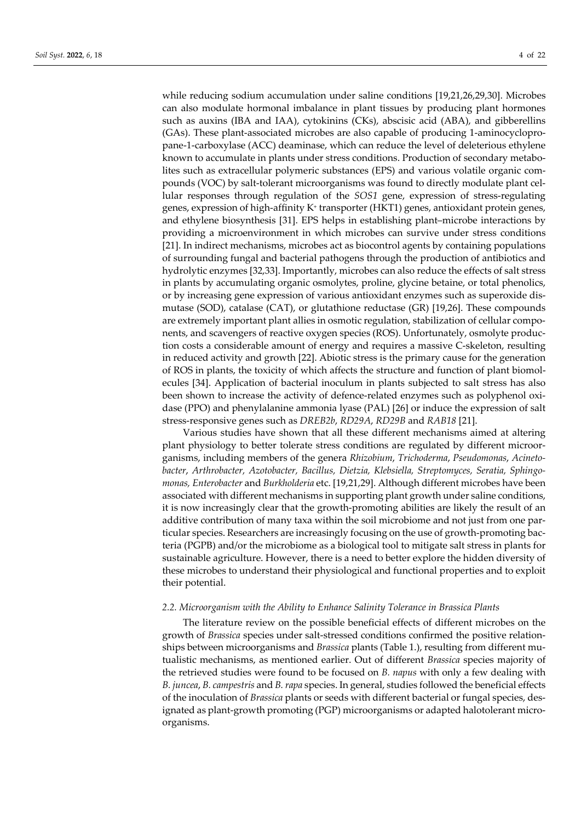while reducing sodium accumulation under saline conditions [19,21,26,29,30]. Microbes can also modulate hormonal imbalance in plant tissues by producing plant hormones such as auxins (IBA and IAA), cytokinins (CKs), abscisic acid (ABA), and gibberellins (GAs). These plant-associated microbes are also capable of producing 1-aminocyclopropane-1-carboxylase (ACC) deaminase, which can reduce the level of deleterious ethylene known to accumulate in plants under stress conditions. Production of secondary metabolites such as extracellular polymeric substances (EPS) and various volatile organic compounds (VOC) by salt-tolerant microorganisms was found to directly modulate plant cellular responses through regulation of the *SOS1* gene, expression of stress-regulating genes, expression of high-affinity K+ transporter (HKT1) genes, antioxidant protein genes, and ethylene biosynthesis [31]. EPS helps in establishing plant–microbe interactions by providing a microenvironment in which microbes can survive under stress conditions [21]. In indirect mechanisms, microbes act as biocontrol agents by containing populations of surrounding fungal and bacterial pathogens through the production of antibiotics and hydrolytic enzymes [32,33]. Importantly, microbes can also reduce the effects of salt stress in plants by accumulating organic osmolytes, proline, glycine betaine, or total phenolics, or by increasing gene expression of various antioxidant enzymes such as superoxide dismutase (SOD), catalase (CAT), or glutathione reductase (GR) [19,26]. These compounds are extremely important plant allies in osmotic regulation, stabilization of cellular components, and scavengers of reactive oxygen species (ROS). Unfortunately, osmolyte production costs a considerable amount of energy and requires a massive C-skeleton, resulting in reduced activity and growth [22]. Abiotic stress is the primary cause for the generation of ROS in plants, the toxicity of which affects the structure and function of plant biomolecules [34]. Application of bacterial inoculum in plants subjected to salt stress has also been shown to increase the activity of defence-related enzymes such as polyphenol oxidase (PPO) and phenylalanine ammonia lyase (PAL) [26] or induce the expression of salt stress-responsive genes such as *DREB2b*, *RD29A*, *RD29B* and *RAB18* [21].

Various studies have shown that all these different mechanisms aimed at altering plant physiology to better tolerate stress conditions are regulated by different microorganisms, including members of the genera *Rhizobium*, *Trichoderma*, *Pseudomonas*, *Acinetobacter*, *Arthrobacter, Azotobacter, Bacillus, Dietzia, Klebsiella, Streptomyces, Seratia, Sphingomonas, Enterobacter* and *Burkholderia* etc. [19,21,29]. Although different microbes have been associated with different mechanisms in supporting plant growth under saline conditions, it is now increasingly clear that the growth-promoting abilities are likely the result of an additive contribution of many taxa within the soil microbiome and not just from one particular species. Researchers are increasingly focusing on the use of growth-promoting bacteria (PGPB) and/or the microbiome as a biological tool to mitigate salt stress in plants for sustainable agriculture. However, there is a need to better explore the hidden diversity of these microbes to understand their physiological and functional properties and to exploit their potential.

#### *2.2. Microorganism with the Ability to Enhance Salinity Tolerance in Brassica Plants*

The literature review on the possible beneficial effects of different microbes on the growth of *Brassica* species under salt-stressed conditions confirmed the positive relationships between microorganisms and *Brassica* plants (Table 1.), resulting from different mutualistic mechanisms, as mentioned earlier. Out of different *Brassica* species majority of the retrieved studies were found to be focused on *B. napus* with only a few dealing with *B. juncea*, *B. campestris* and *B. rapa* species. In general, studies followed the beneficial effects of the inoculation of *Brassica* plants or seeds with different bacterial or fungal species, designated as plant-growth promoting (PGP) microorganisms or adapted halotolerant microorganisms.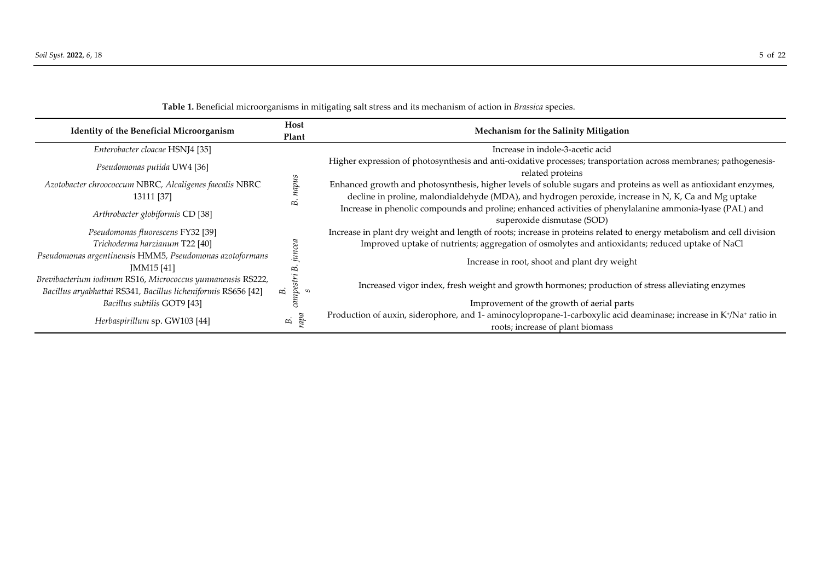**Table 1.** Beneficial microorganisms in mitigating salt stress and its mechanism of action in *Brassica* species.

| <b>Identity of the Beneficial Microorganism</b>                                                                              | Host<br>Plant        | Mechanism for the Salinity Mitigation                                                                                                                  |  |
|------------------------------------------------------------------------------------------------------------------------------|----------------------|--------------------------------------------------------------------------------------------------------------------------------------------------------|--|
| Enterobacter cloacae HSNJ4 [35]                                                                                              |                      | Increase in indole-3-acetic acid                                                                                                                       |  |
| Pseudomonas putida UW4 [36]                                                                                                  |                      | Higher expression of photosynthesis and anti-oxidative processes; transportation across membranes; pathogenesis-<br>related proteins                   |  |
| Azotobacter chroococcum NBRC, Alcaligenes faecalis NBRC                                                                      | napus                | Enhanced growth and photosynthesis, higher levels of soluble sugars and proteins as well as antioxidant enzymes,                                       |  |
| 13111 [37]                                                                                                                   | æ,                   | decline in proline, malondialdehyde (MDA), and hydrogen peroxide, increase in N, K, Ca and Mg uptake                                                   |  |
| Arthrobacter globiformis CD [38]                                                                                             |                      | Increase in phenolic compounds and proline; enhanced activities of phenylalanine ammonia-lyase (PAL) and<br>superoxide dismutase (SOD)                 |  |
| Pseudomonas fluorescens FY32 [39]                                                                                            |                      | Increase in plant dry weight and length of roots; increase in proteins related to energy metabolism and cell division                                  |  |
| Trichoderma harzianum T22 [40]                                                                                               | uncea                | Improved uptake of nutrients; aggregation of osmolytes and antioxidants; reduced uptake of NaCl                                                        |  |
| Pseudomonas argentinensis HMM5, Pseudomonas azotoformans<br>JMM15 [41]                                                       | Б                    | Increase in root, shoot and plant dry weight                                                                                                           |  |
| Brevibacterium iodinum RS16, Micrococcus yunnanensis RS222,<br>Bacillus aryabhattai RS341, Bacillus licheniformis RS656 [42] | campestri<br>B.<br>S | Increased vigor index, fresh weight and growth hormones; production of stress alleviating enzymes                                                      |  |
| Bacillus subtilis GOT9 [43]                                                                                                  |                      | Improvement of the growth of aerial parts                                                                                                              |  |
| Herbaspirillum sp. GW103 [44]                                                                                                | rapa<br>B.           | Production of auxin, siderophore, and 1- aminocylopropane-1-carboxylic acid deaminase; increase in K+/Na+ ratio in<br>roots; increase of plant biomass |  |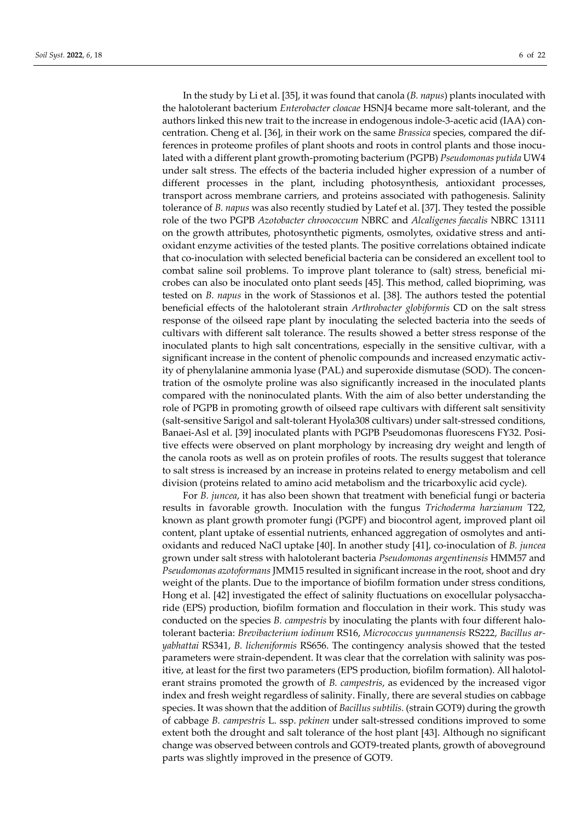In the study by Li et al. [35], it was found that canola (*B. napus*) plants inoculated with the halotolerant bacterium *Enterobacter cloacae* HSNJ4 became more salt-tolerant, and the authors linked this new trait to the increase in endogenous indole-3-acetic acid (IAA) concentration. Cheng et al. [36], in their work on the same *Brassica* species, compared the differences in proteome profiles of plant shoots and roots in control plants and those inoculated with a different plant growth-promoting bacterium (PGPB) *Pseudomonas putida* UW4 under salt stress. The effects of the bacteria included higher expression of a number of different processes in the plant, including photosynthesis, antioxidant processes, transport across membrane carriers, and proteins associated with pathogenesis. Salinity tolerance of *B. napus* was also recently studied by Latef et al. [37]. They tested the possible role of the two PGPB *Azotobacter chroococcum* NBRC and *Alcaligenes faecalis* NBRC 13111 on the growth attributes, photosynthetic pigments, osmolytes, oxidative stress and antioxidant enzyme activities of the tested plants. The positive correlations obtained indicate that co-inoculation with selected beneficial bacteria can be considered an excellent tool to combat saline soil problems. To improve plant tolerance to (salt) stress, beneficial microbes can also be inoculated onto plant seeds [45]. This method, called biopriming, was tested on *B. napus* in the work of Stassionos et al. [38]. The authors tested the potential beneficial effects of the halotolerant strain *Arthrobacter globiformis* CD on the salt stress response of the oilseed rape plant by inoculating the selected bacteria into the seeds of cultivars with different salt tolerance. The results showed a better stress response of the inoculated plants to high salt concentrations, especially in the sensitive cultivar, with a significant increase in the content of phenolic compounds and increased enzymatic activity of phenylalanine ammonia lyase (PAL) and superoxide dismutase (SOD). The concentration of the osmolyte proline was also significantly increased in the inoculated plants compared with the noninoculated plants. With the aim of also better understanding the role of PGPB in promoting growth of oilseed rape cultivars with different salt sensitivity (salt-sensitive Sarigol and salt-tolerant Hyola308 cultivars) under salt-stressed conditions, Banaei-Asl et al. [39] inoculated plants with PGPB Pseudomonas fluorescens FY32. Positive effects were observed on plant morphology by increasing dry weight and length of the canola roots as well as on protein profiles of roots. The results suggest that tolerance to salt stress is increased by an increase in proteins related to energy metabolism and cell division (proteins related to amino acid metabolism and the tricarboxylic acid cycle).

For *B. juncea*, it has also been shown that treatment with beneficial fungi or bacteria results in favorable growth. Inoculation with the fungus *Trichoderma harzianum* T22, known as plant growth promoter fungi (PGPF) and biocontrol agent, improved plant oil content, plant uptake of essential nutrients, enhanced aggregation of osmolytes and antioxidants and reduced NaCl uptake [40]. In another study [41], co-inoculation of *B. juncea* grown under salt stress with halotolerant bacteria *Pseudomonas argentinensis* HMM57 and *Pseudomonas azotoformans* JMM15 resulted in significant increase in the root, shoot and dry weight of the plants. Due to the importance of biofilm formation under stress conditions, Hong et al. [42] investigated the effect of salinity fluctuations on exocellular polysaccharide (EPS) production, biofilm formation and flocculation in their work. This study was conducted on the species *B. campestris* by inoculating the plants with four different halotolerant bacteria: *Brevibacterium iodinum* RS16, *Micrococcus yunnanensis* RS222, *Bacillus aryabhattai* RS341, *B. licheniformis* RS656. The contingency analysis showed that the tested parameters were strain-dependent. It was clear that the correlation with salinity was positive, at least for the first two parameters (EPS production, biofilm formation). All halotolerant strains promoted the growth of *B. campestris*, as evidenced by the increased vigor index and fresh weight regardless of salinity. Finally, there are several studies on cabbage species. It was shown that the addition of *Bacillus subtilis.* (strain GOT9) during the growth of cabbage *B. campestris* L. ssp. *pekinen* under salt-stressed conditions improved to some extent both the drought and salt tolerance of the host plant [43]. Although no significant change was observed between controls and GOT9-treated plants, growth of aboveground parts was slightly improved in the presence of GOT9.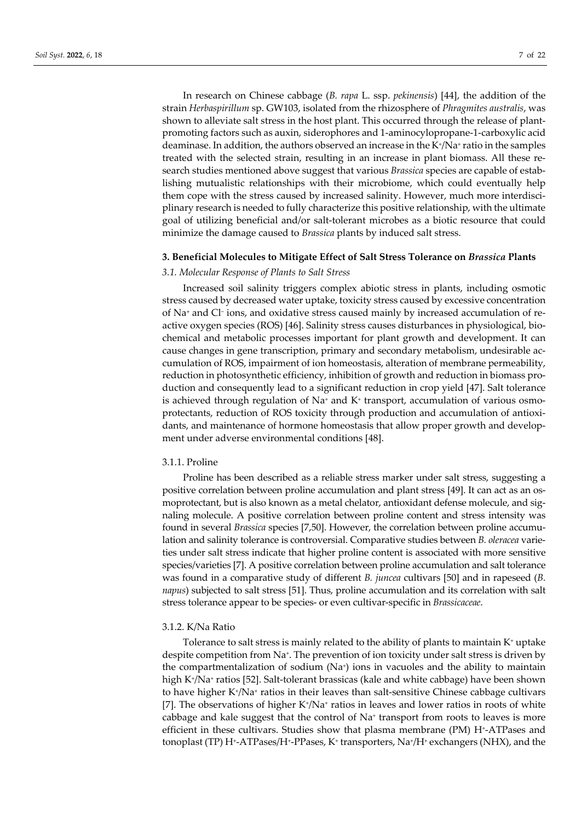In research on Chinese cabbage (*B. rapa* L. ssp. *pekinensis*) [44], the addition of the strain *Herbaspirillum* sp. GW103, isolated from the rhizosphere of *Phragmites australis*, was shown to alleviate salt stress in the host plant. This occurred through the release of plantpromoting factors such as auxin, siderophores and 1-aminocylopropane-1-carboxylic acid deaminase. In addition, the authors observed an increase in the K<sup>+</sup>/Na<sup>+</sup> ratio in the samples treated with the selected strain, resulting in an increase in plant biomass. All these research studies mentioned above suggest that various *Brassica* species are capable of establishing mutualistic relationships with their microbiome, which could eventually help them cope with the stress caused by increased salinity. However, much more interdisciplinary research is needed to fully characterize this positive relationship, with the ultimate goal of utilizing beneficial and/or salt-tolerant microbes as a biotic resource that could minimize the damage caused to *Brassica* plants by induced salt stress.

#### **3. Beneficial Molecules to Mitigate Effect of Salt Stress Tolerance on** *Brassica* **Plants**

### *3.1. Molecular Response of Plants to Salt Stress*

Increased soil salinity triggers complex abiotic stress in plants, including osmotic stress caused by decreased water uptake, toxicity stress caused by excessive concentration of Na+ and Cl− ions, and oxidative stress caused mainly by increased accumulation of reactive oxygen species (ROS) [46]. Salinity stress causes disturbances in physiological, biochemical and metabolic processes important for plant growth and development. It can cause changes in gene transcription, primary and secondary metabolism, undesirable accumulation of ROS, impairment of ion homeostasis, alteration of membrane permeability, reduction in photosynthetic efficiency, inhibition of growth and reduction in biomass production and consequently lead to a significant reduction in crop yield [47]. Salt tolerance is achieved through regulation of Na+ and  $K<sup>+</sup>$  transport, accumulation of various osmoprotectants, reduction of ROS toxicity through production and accumulation of antioxidants, and maintenance of hormone homeostasis that allow proper growth and development under adverse environmental conditions [48].

## 3.1.1. Proline

Proline has been described as a reliable stress marker under salt stress, suggesting a positive correlation between proline accumulation and plant stress [49]. It can act as an osmoprotectant, but is also known as a metal chelator, antioxidant defense molecule, and signaling molecule. A positive correlation between proline content and stress intensity was found in several *Brassica* species [7,50]. However, the correlation between proline accumulation and salinity tolerance is controversial. Comparative studies between *B. oleracea* varieties under salt stress indicate that higher proline content is associated with more sensitive species/varieties [7]. A positive correlation between proline accumulation and salt tolerance was found in a comparative study of different *B. juncea* cultivars [50] and in rapeseed (*B. napus*) subjected to salt stress [51]. Thus, proline accumulation and its correlation with salt stress tolerance appear to be species- or even cultivar-specific in *Brassicaceae*.

### 3.1.2. K/Na Ratio

Tolerance to salt stress is mainly related to the ability of plants to maintain K<sup>+</sup> uptake despite competition from Na<sup>+</sup>. The prevention of ion toxicity under salt stress is driven by the compartmentalization of sodium  $(Na<sup>+</sup>)$  ions in vacuoles and the ability to maintain high K+/Na+ ratios [52]. Salt-tolerant brassicas (kale and white cabbage) have been shown to have higher K+/Na+ ratios in their leaves than salt-sensitive Chinese cabbage cultivars [7]. The observations of higher  $K^*/Na^*$  ratios in leaves and lower ratios in roots of white cabbage and kale suggest that the control of  $Na<sup>+</sup>$  transport from roots to leaves is more efficient in these cultivars. Studies show that plasma membrane (PM) H+-ATPases and tonoplast (TP) H<sup>+</sup>-ATPases/H<sup>+</sup>-PPases, K<sup>+</sup> transporters, Na<sup>+</sup>/H<sup>+</sup> exchangers (NHX), and the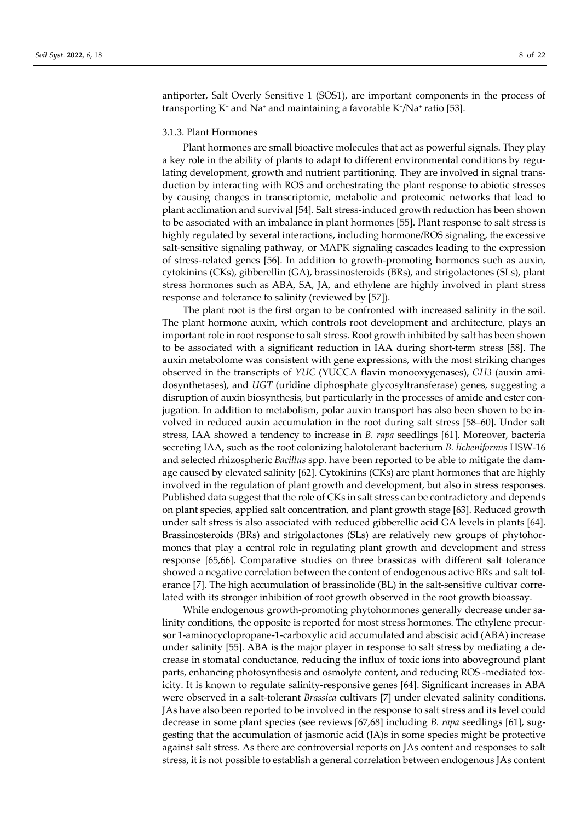antiporter, Salt Overly Sensitive 1 (SOS1), are important components in the process of transporting  $K^+$  and Na<sup>+</sup> and maintaining a favorable  $K^+$ /Na<sup>+</sup> ratio [53].

## 3.1.3. Plant Hormones

Plant hormones are small bioactive molecules that act as powerful signals. They play a key role in the ability of plants to adapt to different environmental conditions by regulating development, growth and nutrient partitioning. They are involved in signal transduction by interacting with ROS and orchestrating the plant response to abiotic stresses by causing changes in transcriptomic, metabolic and proteomic networks that lead to plant acclimation and survival [54]. Salt stress-induced growth reduction has been shown to be associated with an imbalance in plant hormones [55]. Plant response to salt stress is highly regulated by several interactions, including hormone/ROS signaling, the excessive salt-sensitive signaling pathway, or MAPK signaling cascades leading to the expression of stress-related genes [56]. In addition to growth-promoting hormones such as auxin, cytokinins (CKs), gibberellin (GA), brassinosteroids (BRs), and strigolactones (SLs), plant stress hormones such as ABA, SA, JA, and ethylene are highly involved in plant stress response and tolerance to salinity (reviewed by [57]).

The plant root is the first organ to be confronted with increased salinity in the soil. The plant hormone auxin, which controls root development and architecture, plays an important role in root response to salt stress. Root growth inhibited by salt has been shown to be associated with a significant reduction in IAA during short-term stress [58]. The auxin metabolome was consistent with gene expressions, with the most striking changes observed in the transcripts of *YUC* (YUCCA flavin monooxygenases), *GH3* (auxin amidosynthetases), and *UGT* (uridine diphosphate glycosyltransferase) genes, suggesting a disruption of auxin biosynthesis, but particularly in the processes of amide and ester conjugation. In addition to metabolism, polar auxin transport has also been shown to be involved in reduced auxin accumulation in the root during salt stress [58–60]. Under salt stress, IAA showed a tendency to increase in *B. rapa* seedlings [61]. Moreover, bacteria secreting IAA, such as the root colonizing halotolerant bacterium *B. licheniformis* HSW-16 and selected rhizospheric *Bacillus* spp. have been reported to be able to mitigate the damage caused by elevated salinity [62]. Cytokinins (CKs) are plant hormones that are highly involved in the regulation of plant growth and development, but also in stress responses. Published data suggest that the role of CKs in salt stress can be contradictory and depends on plant species, applied salt concentration, and plant growth stage [63]. Reduced growth under salt stress is also associated with reduced gibberellic acid GA levels in plants [64]. Brassinosteroids (BRs) and strigolactones (SLs) are relatively new groups of phytohormones that play a central role in regulating plant growth and development and stress response [65,66]. Comparative studies on three brassicas with different salt tolerance showed a negative correlation between the content of endogenous active BRs and salt tolerance [7]. The high accumulation of brassinolide (BL) in the salt-sensitive cultivar correlated with its stronger inhibition of root growth observed in the root growth bioassay.

While endogenous growth-promoting phytohormones generally decrease under salinity conditions, the opposite is reported for most stress hormones. The ethylene precursor 1-aminocyclopropane-1-carboxylic acid accumulated and abscisic acid (ABA) increase under salinity [55]. ABA is the major player in response to salt stress by mediating a decrease in stomatal conductance, reducing the influx of toxic ions into aboveground plant parts, enhancing photosynthesis and osmolyte content, and reducing ROS -mediated toxicity. It is known to regulate salinity-responsive genes [64]. Significant increases in ABA were observed in a salt-tolerant *Brassica* cultivars [7] under elevated salinity conditions. JAs have also been reported to be involved in the response to salt stress and its level could decrease in some plant species (see reviews [67,68] including *B. rapa* seedlings [61], suggesting that the accumulation of jasmonic acid (JA)s in some species might be protective against salt stress. As there are controversial reports on JAs content and responses to salt stress, it is not possible to establish a general correlation between endogenous JAs content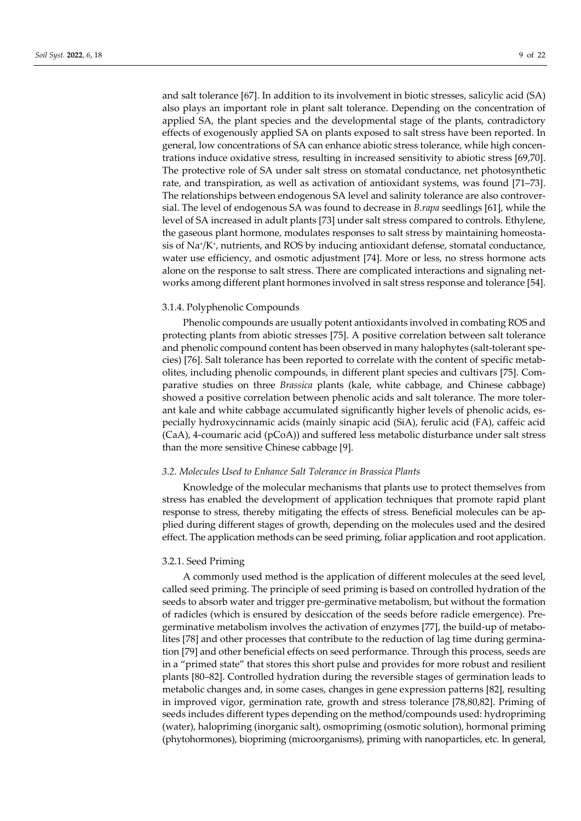and salt tolerance [67]. In addition to its involvement in biotic stresses, salicylic acid (SA) also plays an important role in plant salt tolerance. Depending on the concentration of applied SA, the plant species and the developmental stage of the plants, contradictory effects of exogenously applied SA on plants exposed to salt stress have been reported. In general, low concentrations of SA can enhance abiotic stress tolerance, while high concentrations induce oxidative stress, resulting in increased sensitivity to abiotic stress [69,70]. The protective role of SA under salt stress on stomatal conductance, net photosynthetic rate, and transpiration, as well as activation of antioxidant systems, was found [71–73]. The relationships between endogenous SA level and salinity tolerance are also controversial. The level of endogenous SA was found to decrease in *B.rapa* seedlings [61], while the level of SA increased in adult plants [73] under salt stress compared to controls. Ethylene, the gaseous plant hormone, modulates responses to salt stress by maintaining homeostasis of Na+/K+, nutrients, and ROS by inducing antioxidant defense, stomatal conductance, water use efficiency, and osmotic adjustment [74]. More or less, no stress hormone acts alone on the response to salt stress. There are complicated interactions and signaling networks among different plant hormones involved in salt stress response and tolerance [54].

#### 3.1.4. Polyphenolic Compounds

Phenolic compounds are usually potent antioxidants involved in combating ROS and protecting plants from abiotic stresses [75]. A positive correlation between salt tolerance and phenolic compound content has been observed in many halophytes (salt-tolerant species) [76]. Salt tolerance has been reported to correlate with the content of specific metabolites, including phenolic compounds, in different plant species and cultivars [75]. Comparative studies on three *Brassica* plants (kale, white cabbage, and Chinese cabbage) showed a positive correlation between phenolic acids and salt tolerance. The more tolerant kale and white cabbage accumulated significantly higher levels of phenolic acids, especially hydroxycinnamic acids (mainly sinapic acid (SiA), ferulic acid (FA), caffeic acid (CaA), 4-coumaric acid (pCoA)) and suffered less metabolic disturbance under salt stress than the more sensitive Chinese cabbage [9].

#### *3.2. Molecules Used to Enhance Salt Tolerance in Brassica Plants*

Knowledge of the molecular mechanisms that plants use to protect themselves from stress has enabled the development of application techniques that promote rapid plant response to stress, thereby mitigating the effects of stress. Beneficial molecules can be applied during different stages of growth, depending on the molecules used and the desired effect. The application methods can be seed priming, foliar application and root application.

## 3.2.1. Seed Priming

A commonly used method is the application of different molecules at the seed level, called seed priming. The principle of seed priming is based on controlled hydration of the seeds to absorb water and trigger pre-germinative metabolism, but without the formation of radicles (which is ensured by desiccation of the seeds before radicle emergence). Pregerminative metabolism involves the activation of enzymes [77], the build-up of metabolites [78] and other processes that contribute to the reduction of lag time during germination [79] and other beneficial effects on seed performance. Through this process, seeds are in a "primed state" that stores this short pulse and provides for more robust and resilient plants [80–82]. Controlled hydration during the reversible stages of germination leads to metabolic changes and, in some cases, changes in gene expression patterns [82], resulting in improved vigor, germination rate, growth and stress tolerance [78,80,82]. Priming of seeds includes different types depending on the method/compounds used: hydropriming (water), halopriming (inorganic salt), osmopriming (osmotic solution), hormonal priming (phytohormones), biopriming (microorganisms), priming with nanoparticles, etc. In general,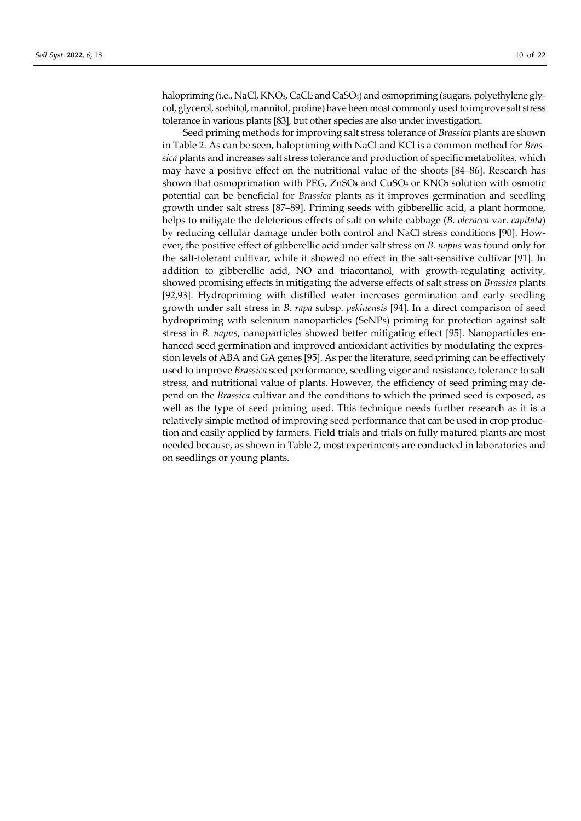halopriming (i.e., NaCl, KNO<sub>3</sub>, CaCl<sub>2</sub> and CaSO<sub>4</sub>) and osmopriming (sugars, polyethylene glycol, glycerol, sorbitol, mannitol, proline) have been most commonly used to improve salt stress tolerance in various plants [83], but other species are also under investigation.

Seed priming methods for improving salt stress tolerance of *Brassica* plants are shown in Table 2. As can be seen, halopriming with NaCl and KCl is a common method for *Brassica* plants and increases salt stress tolerance and production of specific metabolites, which may have a positive effect on the nutritional value of the shoots [84–86]. Research has shown that osmoprimation with PEG, ZnSO**4** and CuSO**4** or KNO**3** solution with osmotic potential can be beneficial for *Brassica* plants as it improves germination and seedling growth under salt stress [87–89]. Priming seeds with gibberellic acid, a plant hormone, helps to mitigate the deleterious effects of salt on white cabbage (*B. oleracea* var*. capitata*) by reducing cellular damage under both control and NaCl stress conditions [90]. However, the positive effect of gibberellic acid under salt stress on *B. napus* was found only for the salt-tolerant cultivar, while it showed no effect in the salt-sensitive cultivar [91]. In addition to gibberellic acid, NO and triacontanol, with growth-regulating activity, showed promising effects in mitigating the adverse effects of salt stress on *Brassica* plants [92,93]. Hydropriming with distilled water increases germination and early seedling growth under salt stress in *B. rapa* subsp. *pekinensis* [94]. In a direct comparison of seed hydropriming with selenium nanoparticles (SeNPs) priming for protection against salt stress in *B. napus*, nanoparticles showed better mitigating effect [95]. Nanoparticles enhanced seed germination and improved antioxidant activities by modulating the expression levels of ABA and GA genes [95]. As per the literature, seed priming can be effectively used to improve *Brassica* seed performance, seedling vigor and resistance, tolerance to salt stress, and nutritional value of plants. However, the efficiency of seed priming may depend on the *Brassica* cultivar and the conditions to which the primed seed is exposed, as well as the type of seed priming used. This technique needs further research as it is a relatively simple method of improving seed performance that can be used in crop production and easily applied by farmers. Field trials and trials on fully matured plants are most needed because, as shown in Table 2, most experiments are conducted in laboratories and on seedlings or young plants.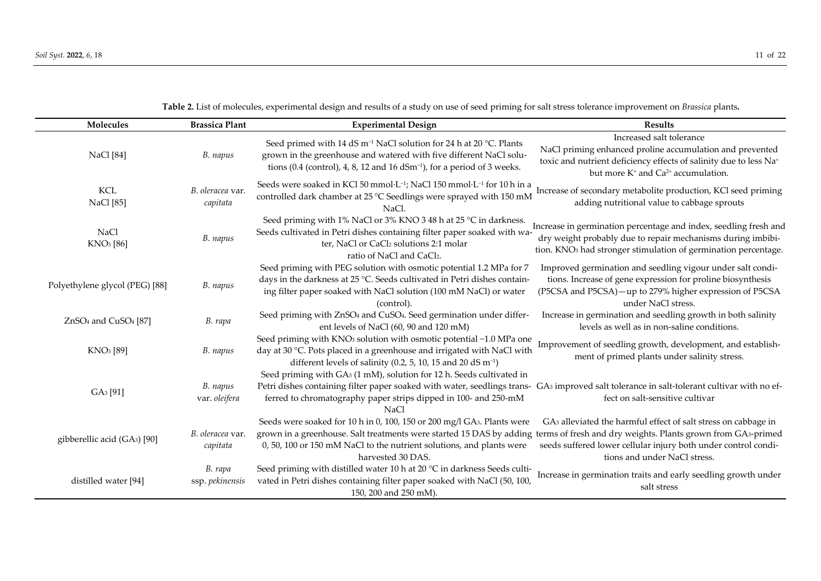**Table 2.** List of molecules, experimental design and results of a study on use of seed priming for salt stress tolerance improvement on *Brassica* plants**.** 

| Molecules                                    | <b>Brassica Plant</b>        | <b>Experimental Design</b>                                                                                                                                                                                                                                                                               | <b>Results</b>                                                                                                                                                                                                                      |
|----------------------------------------------|------------------------------|----------------------------------------------------------------------------------------------------------------------------------------------------------------------------------------------------------------------------------------------------------------------------------------------------------|-------------------------------------------------------------------------------------------------------------------------------------------------------------------------------------------------------------------------------------|
| <b>NaCl</b> [84]                             | B. napus                     | Seed primed with 14 dS m <sup>-1</sup> NaCl solution for 24 h at 20 °C. Plants<br>grown in the greenhouse and watered with five different NaCl solu-<br>tions $(0.4$ (control), 4, 8, 12 and 16 dSm <sup>-1</sup> ), for a period of 3 weeks.                                                            | Increased salt tolerance<br>NaCl priming enhanced proline accumulation and prevented<br>toxic and nutrient deficiency effects of salinity due to less Na <sup>+</sup><br>but more K <sup>+</sup> and Ca <sup>2+</sup> accumulation. |
| <b>KCL</b><br>NaCl [85]                      | B. oleracea var.<br>capitata | Seeds were soaked in KCl 50 mmol·L <sup>-1</sup> ; NaCl 150 mmol·L <sup>-1</sup> for 10 h in a<br>controlled dark chamber at 25 °C Seedlings were sprayed with 150 mM<br>NaCl.                                                                                                                           | Increase of secondary metabolite production, KCl seed priming<br>adding nutritional value to cabbage sprouts                                                                                                                        |
| <b>NaCl</b><br>KNO <sub>3</sub> [86]         | B. napus                     | Seed priming with 1% NaCl or 3% KNO 3 48 h at 25 °C in darkness.<br>Seeds cultivated in Petri dishes containing filter paper soaked with wa-<br>ter, NaCl or CaCl2 solutions 2:1 molar<br>ratio of NaCl and CaCl2.                                                                                       | Increase in germination percentage and index, seedling fresh and<br>dry weight probably due to repair mechanisms during imbibi-<br>tion. KNO <sub>3</sub> had stronger stimulation of germination percentage.                       |
| Polyethylene glycol (PEG) [88]               | B. napus                     | Seed priming with PEG solution with osmotic potential 1.2 MPa for 7<br>days in the darkness at 25 °C. Seeds cultivated in Petri dishes contain-<br>ing filter paper soaked with NaCl solution (100 mM NaCl) or water<br>(control).                                                                       | Improved germination and seedling vigour under salt condi-<br>tions. Increase of gene expression for proline biosynthesis<br>(P5CSA and P5CSA) - up to 279% higher expression of P5CSA<br>under NaCl stress.                        |
| ZnSO <sub>4</sub> and CuSO <sub>4</sub> [87] | B. rapa                      | Seed priming with ZnSO <sub>4</sub> and CuSO <sub>4</sub> . Seed germination under differ-<br>ent levels of NaCl (60, 90 and 120 mM)                                                                                                                                                                     | Increase in germination and seedling growth in both salinity<br>levels as well as in non-saline conditions.                                                                                                                         |
| KNO <sub>3</sub> [89]                        | B. napus                     | Seed priming with KNO <sub>3</sub> solution with osmotic potential -1.0 MPa one<br>day at 30 °C. Pots placed in a greenhouse and irrigated with NaCl with<br>different levels of salinity (0.2, 5, 10, 15 and 20 dS m <sup>-1</sup> )                                                                    | Improvement of seedling growth, development, and establish-<br>ment of primed plants under salinity stress.                                                                                                                         |
| GA <sub>3</sub> [91]                         | B. napus<br>var. oleifera    | Seed priming with GA <sub>3</sub> (1 mM), solution for 12 h. Seeds cultivated in<br>Petri dishes containing filter paper soaked with water, seedlings trans-<br>ferred to chromatography paper strips dipped in 100- and 250-mM<br>NaCl                                                                  | GA <sub>3</sub> improved salt tolerance in salt-tolerant cultivar with no ef-<br>fect on salt-sensitive cultivar                                                                                                                    |
| gibberellic acid (GA3) [90]                  | B. oleracea var.<br>capitata | Seeds were soaked for 10 h in 0, 100, 150 or 200 mg/l GA3. Plants were<br>grown in a greenhouse. Salt treatments were started 15 DAS by adding terms of fresh and dry weights. Plants grown from GA3-primed<br>0, 50, 100 or 150 mM NaCl to the nutrient solutions, and plants were<br>harvested 30 DAS. | GA <sub>3</sub> alleviated the harmful effect of salt stress on cabbage in<br>seeds suffered lower cellular injury both under control condi-<br>tions and under NaCl stress.                                                        |
| distilled water [94]                         | B. rapa<br>ssp. pekinensis   | Seed priming with distilled water 10 h at 20 °C in darkness Seeds culti-<br>vated in Petri dishes containing filter paper soaked with NaCl (50, 100,<br>150, 200 and 250 mM).                                                                                                                            | Increase in germination traits and early seedling growth under<br>salt stress                                                                                                                                                       |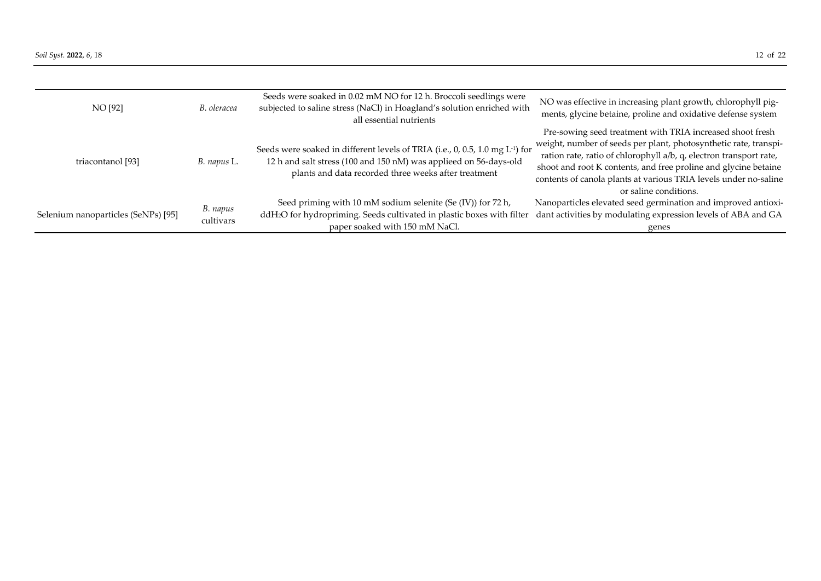| NO [92]                             | B. oleracea           | Seeds were soaked in 0.02 mM NO for 12 h. Broccoli seedlings were<br>subjected to saline stress (NaCl) in Hoagland's solution enriched with<br>all essential nutrients                                                 | NO was effective in increasing plant growth, chlorophyll pig-<br>ments, glycine betaine, proline and oxidative defense system                                                                                                                                                                          |
|-------------------------------------|-----------------------|------------------------------------------------------------------------------------------------------------------------------------------------------------------------------------------------------------------------|--------------------------------------------------------------------------------------------------------------------------------------------------------------------------------------------------------------------------------------------------------------------------------------------------------|
|                                     |                       |                                                                                                                                                                                                                        | Pre-sowing seed treatment with TRIA increased shoot fresh                                                                                                                                                                                                                                              |
| triacontanol [93]                   | B. napus L.           | Seeds were soaked in different levels of TRIA (i.e., 0, 0.5, 1.0 mg L <sup>-1</sup> ) for<br>12 h and salt stress (100 and 150 nM) was applieed on 56-days-old<br>plants and data recorded three weeks after treatment | weight, number of seeds per plant, photosynthetic rate, transpi-<br>ration rate, ratio of chlorophyll a/b, q, electron transport rate,<br>shoot and root K contents, and free proline and glycine betaine<br>contents of canola plants at various TRIA levels under no-saline<br>or saline conditions. |
| Selenium nanoparticles (SeNPs) [95] | B. napus<br>cultivars | Seed priming with 10 mM sodium selenite (Se (IV)) for 72 h,<br>ddH <sub>2</sub> O for hydropriming. Seeds cultivated in plastic boxes with filter<br>paper soaked with 150 mM NaCl.                                    | Nanoparticles elevated seed germination and improved antioxi-<br>dant activities by modulating expression levels of ABA and GA<br>genes                                                                                                                                                                |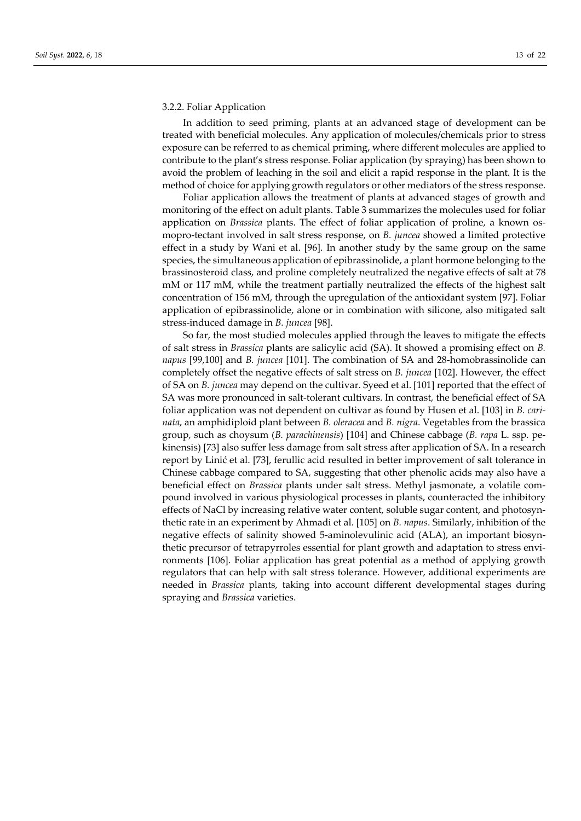#### 3.2.2. Foliar Application

In addition to seed priming, plants at an advanced stage of development can be treated with beneficial molecules. Any application of molecules/chemicals prior to stress exposure can be referred to as chemical priming, where different molecules are applied to contribute to the plant's stress response. Foliar application (by spraying) has been shown to avoid the problem of leaching in the soil and elicit a rapid response in the plant. It is the method of choice for applying growth regulators or other mediators of the stress response.

Foliar application allows the treatment of plants at advanced stages of growth and monitoring of the effect on adult plants. Table 3 summarizes the molecules used for foliar application on *Brassica* plants. The effect of foliar application of proline, a known osmopro-tectant involved in salt stress response, on *B. juncea* showed a limited protective effect in a study by Wani et al. [96]. In another study by the same group on the same species, the simultaneous application of epibrassinolide, a plant hormone belonging to the brassinosteroid class, and proline completely neutralized the negative effects of salt at 78 mM or 117 mM, while the treatment partially neutralized the effects of the highest salt concentration of 156 mM, through the upregulation of the antioxidant system [97]. Foliar application of epibrassinolide, alone or in combination with silicone, also mitigated salt stress-induced damage in *B. juncea* [98].

So far, the most studied molecules applied through the leaves to mitigate the effects of salt stress in *Brassica* plants are salicylic acid (SA). It showed a promising effect on *B. napus* [99,100] and *B. juncea* [101]. The combination of SA and 28-homobrassinolide can completely offset the negative effects of salt stress on *B. juncea* [102]. However, the effect of SA on *B. juncea* may depend on the cultivar. Syeed et al. [101] reported that the effect of SA was more pronounced in salt-tolerant cultivars. In contrast, the beneficial effect of SA foliar application was not dependent on cultivar as found by Husen et al. [103] in *B. carinata*, an amphidiploid plant between *B. oleracea* and *B. nigra*. Vegetables from the brassica group, such as choysum (*B. parachinensis*) [104] and Chinese cabbage (*B. rapa* L. ssp. pekinensis) [73] also suffer less damage from salt stress after application of SA. In a research report by Linić et al. [73], ferullic acid resulted in better improvement of salt tolerance in Chinese cabbage compared to SA, suggesting that other phenolic acids may also have a beneficial effect on *Brassica* plants under salt stress. Methyl jasmonate, a volatile compound involved in various physiological processes in plants, counteracted the inhibitory effects of NaCl by increasing relative water content, soluble sugar content, and photosynthetic rate in an experiment by Ahmadi et al. [105] on *B. napus*. Similarly, inhibition of the negative effects of salinity showed 5-aminolevulinic acid (ALA), an important biosynthetic precursor of tetrapyrroles essential for plant growth and adaptation to stress environments [106]. Foliar application has great potential as a method of applying growth regulators that can help with salt stress tolerance. However, additional experiments are needed in *Brassica* plants, taking into account different developmental stages during spraying and *Brassica* varieties.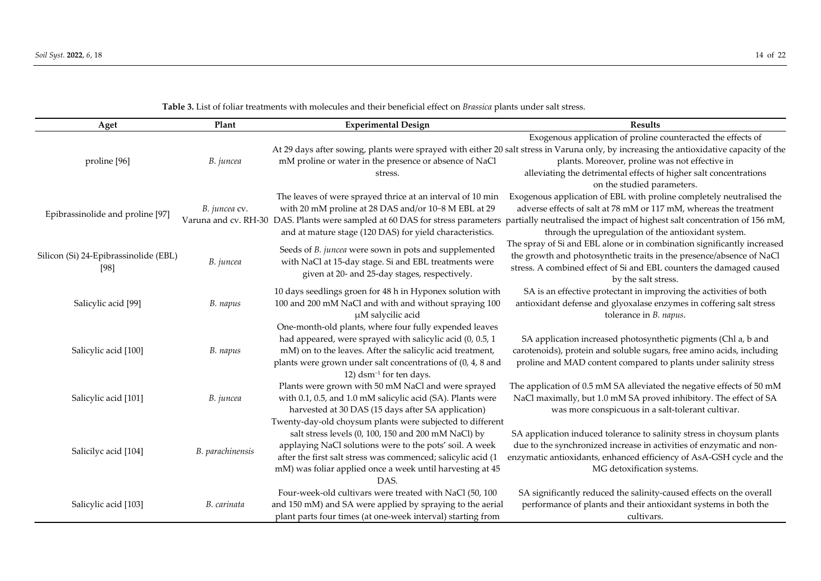| Aget                                  | Plant            | <b>Experimental Design</b>                                                                                                                                      | <b>Results</b>                                                                                                                                          |
|---------------------------------------|------------------|-----------------------------------------------------------------------------------------------------------------------------------------------------------------|---------------------------------------------------------------------------------------------------------------------------------------------------------|
|                                       |                  |                                                                                                                                                                 | Exogenous application of proline counteracted the effects of                                                                                            |
|                                       |                  |                                                                                                                                                                 | At 29 days after sowing, plants were sprayed with either 20 salt stress in Varuna only, by increasing the antioxidative capacity of the                 |
| proline [96]                          | B. juncea        | mM proline or water in the presence or absence of NaCl                                                                                                          | plants. Moreover, proline was not effective in                                                                                                          |
|                                       |                  | stress.                                                                                                                                                         | alleviating the detrimental effects of higher salt concentrations                                                                                       |
|                                       |                  |                                                                                                                                                                 | on the studied parameters.<br>Exogenous application of EBL with proline completely neutralised the                                                      |
|                                       | B. juncea cv.    | The leaves of were sprayed thrice at an interval of 10 min<br>with 20 mM proline at 28 DAS and/or 10-8 M EBL at 29                                              | adverse effects of salt at 78 mM or 117 mM, whereas the treatment                                                                                       |
| Epibrassinolide and proline [97]      |                  |                                                                                                                                                                 | Varuna and cv. RH-30 DAS. Plants were sampled at 60 DAS for stress parameters partially neutralised the impact of highest salt concentration of 156 mM, |
|                                       |                  | and at mature stage (120 DAS) for yield characteristics.                                                                                                        | through the upregulation of the antioxidant system.                                                                                                     |
|                                       | B. juncea        | Seeds of B. juncea were sown in pots and supplemented<br>with NaCl at 15-day stage. Si and EBL treatments were<br>given at 20- and 25-day stages, respectively. | The spray of Si and EBL alone or in combination significantly increased                                                                                 |
| Silicon (Si) 24-Epibrassinolide (EBL) |                  |                                                                                                                                                                 | the growth and photosynthetic traits in the presence/absence of NaCl                                                                                    |
| [98]                                  |                  |                                                                                                                                                                 | stress. A combined effect of Si and EBL counters the damaged caused<br>by the salt stress.                                                              |
|                                       |                  | 10 days seedlings groen for 48 h in Hyponex solution with                                                                                                       | SA is an effective protectant in improving the activities of both                                                                                       |
| Salicylic acid [99]                   | B. napus         | 100 and 200 mM NaCl and with and without spraying 100                                                                                                           | antioxidant defense and glyoxalase enzymes in coffering salt stress                                                                                     |
|                                       |                  | µM salycilic acid                                                                                                                                               | tolerance in B. napus.                                                                                                                                  |
|                                       |                  | One-month-old plants, where four fully expended leaves                                                                                                          |                                                                                                                                                         |
|                                       |                  | had appeared, were sprayed with salicylic acid (0, 0.5, 1                                                                                                       | SA application increased photosynthetic pigments (Chl a, b and                                                                                          |
| Salicylic acid [100]                  | B. napus         | mM) on to the leaves. After the salicylic acid treatment,                                                                                                       | carotenoids), protein and soluble sugars, free amino acids, including                                                                                   |
|                                       |                  | plants were grown under salt concentrations of (0, 4, 8 and<br>12) dsm <sup>-1</sup> for ten days.                                                              | proline and MAD content compared to plants under salinity stress                                                                                        |
|                                       |                  | Plants were grown with 50 mM NaCl and were sprayed                                                                                                              | The application of 0.5 mM SA alleviated the negative effects of 50 mM                                                                                   |
| Salicylic acid [101]                  | B. juncea        | with 0.1, 0.5, and 1.0 mM salicylic acid (SA). Plants were                                                                                                      | NaCl maximally, but 1.0 mM SA proved inhibitory. The effect of SA                                                                                       |
|                                       |                  | harvested at 30 DAS (15 days after SA application)                                                                                                              | was more conspicuous in a salt-tolerant cultivar.                                                                                                       |
|                                       |                  | Twenty-day-old choysum plants were subjected to different                                                                                                       |                                                                                                                                                         |
|                                       | B. parachinensis | salt stress levels (0, 100, 150 and 200 mM NaCl) by                                                                                                             | SA application induced tolerance to salinity stress in choysum plants                                                                                   |
| Salicilyc acid [104]                  |                  | applaying NaCl solutions were to the pots' soil. A week                                                                                                         | due to the synchronized increase in activities of enzymatic and non-                                                                                    |
|                                       |                  | after the first salt stress was commenced; salicylic acid (1                                                                                                    | enzymatic antioxidants, enhanced efficiency of AsA-GSH cycle and the                                                                                    |
|                                       |                  | mM) was foliar applied once a week until harvesting at 45                                                                                                       | MG detoxification systems.                                                                                                                              |
|                                       |                  | DAS.                                                                                                                                                            |                                                                                                                                                         |
|                                       |                  | Four-week-old cultivars were treated with NaCl (50, 100                                                                                                         | SA significantly reduced the salinity-caused effects on the overall                                                                                     |
| Salicylic acid [103]                  | B. carinata      | and 150 mM) and SA were applied by spraying to the aerial                                                                                                       | performance of plants and their antioxidant systems in both the                                                                                         |
|                                       |                  | plant parts four times (at one-week interval) starting from                                                                                                     | cultivars.                                                                                                                                              |

**Table 3.** List of foliar treatments with molecules and their beneficial effect on *Brassica* plants under salt stress.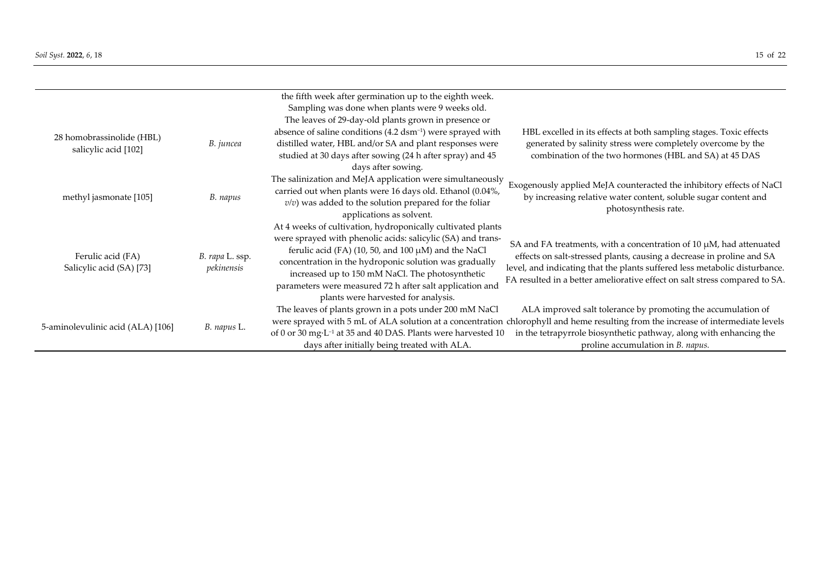|                                                   |                               | the fifth week after germination up to the eighth week.                                                                                                                                                                                                                                                                                                                                                |                                                                                                                                                                                                                                                                                                                     |
|---------------------------------------------------|-------------------------------|--------------------------------------------------------------------------------------------------------------------------------------------------------------------------------------------------------------------------------------------------------------------------------------------------------------------------------------------------------------------------------------------------------|---------------------------------------------------------------------------------------------------------------------------------------------------------------------------------------------------------------------------------------------------------------------------------------------------------------------|
|                                                   |                               | Sampling was done when plants were 9 weeks old.                                                                                                                                                                                                                                                                                                                                                        |                                                                                                                                                                                                                                                                                                                     |
| 28 homobrassinolide (HBL)<br>salicylic acid [102] | B. juncea                     | The leaves of 29-day-old plants grown in presence or<br>absence of saline conditions (4.2 dsm <sup>-1</sup> ) were sprayed with<br>distilled water, HBL and/or SA and plant responses were<br>studied at 30 days after sowing (24 h after spray) and 45<br>days after sowing.                                                                                                                          | HBL excelled in its effects at both sampling stages. Toxic effects<br>generated by salinity stress were completely overcome by the<br>combination of the two hormones (HBL and SA) at 45 DAS                                                                                                                        |
| methyl jasmonate [105]                            | B. napus                      | The salinization and MeJA application were simultaneously<br>carried out when plants were 16 days old. Ethanol (0.04%,<br>$v/v$ ) was added to the solution prepared for the foliar<br>applications as solvent.                                                                                                                                                                                        | Exogenously applied MeJA counteracted the inhibitory effects of NaCl<br>by increasing relative water content, soluble sugar content and<br>photosynthesis rate.                                                                                                                                                     |
| Ferulic acid (FA)<br>Salicylic acid (SA) [73]     | B. rapa L. ssp.<br>pekinensis | At 4 weeks of cultivation, hydroponically cultivated plants<br>were sprayed with phenolic acids: salicylic (SA) and trans-<br>ferulic acid (FA) (10, 50, and 100 $\mu$ M) and the NaCl<br>concentration in the hydroponic solution was gradually<br>increased up to 150 mM NaCl. The photosynthetic<br>parameters were measured 72 h after salt application and<br>plants were harvested for analysis. | SA and FA treatments, with a concentration of $10 \mu M$ , had attenuated<br>effects on salt-stressed plants, causing a decrease in proline and SA<br>level, and indicating that the plants suffered less metabolic disturbance.<br>FA resulted in a better ameliorative effect on salt stress compared to SA.      |
| 5-aminolevulinic acid (ALA) [106]                 | B. napus L.                   | The leaves of plants grown in a pots under 200 mM NaCl<br>of 0 or 30 mg·L <sup>-1</sup> at 35 and 40 DAS. Plants were harvested 10<br>days after initially being treated with ALA.                                                                                                                                                                                                                     | ALA improved salt tolerance by promoting the accumulation of<br>were sprayed with 5 mL of ALA solution at a concentration chlorophyll and heme resulting from the increase of intermediate levels<br>in the tetrapyrrole biosynthetic pathway, along with enhancing the<br>proline accumulation in <i>B. napus.</i> |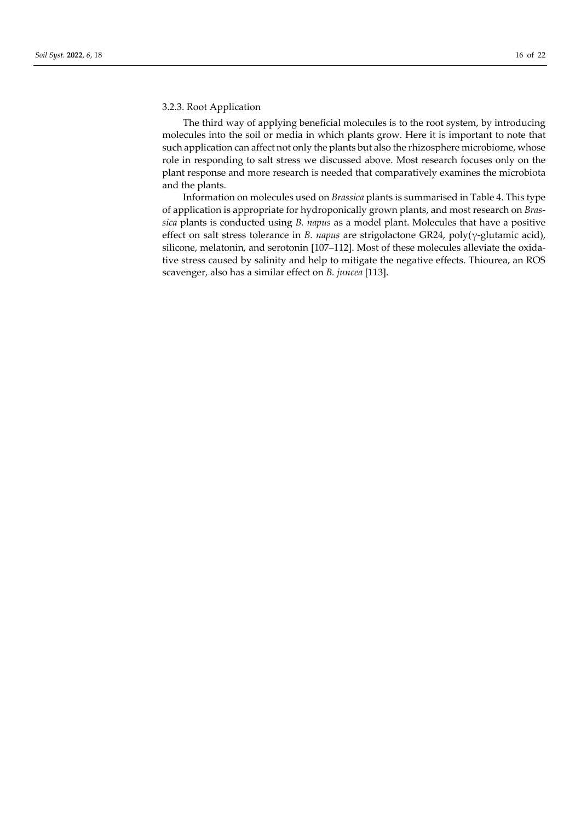#### 3.2.3. Root Application

The third way of applying beneficial molecules is to the root system, by introducing molecules into the soil or media in which plants grow. Here it is important to note that such application can affect not only the plants but also the rhizosphere microbiome, whose role in responding to salt stress we discussed above. Most research focuses only on the plant response and more research is needed that comparatively examines the microbiota and the plants.

Information on molecules used on *Brassica* plants is summarised in Table 4. This type of application is appropriate for hydroponically grown plants, and most research on *Brassica* plants is conducted using *B. napus* as a model plant. Molecules that have a positive effect on salt stress tolerance in *B. napus* are strigolactone GR24, poly(γ-glutamic acid), silicone, melatonin, and serotonin [107–112]. Most of these molecules alleviate the oxidative stress caused by salinity and help to mitigate the negative effects. Thiourea, an ROS scavenger, also has a similar effect on *B. juncea* [113].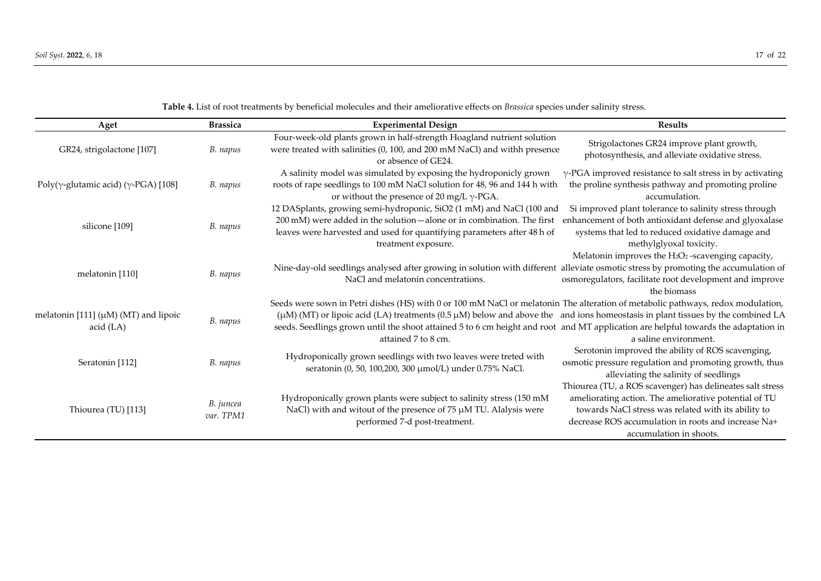**Table 4.** List of root treatments by beneficial molecules and their ameliorative effects on *Brassica* species under salinity stress.

| Aget                                                   | <b>Brassica</b>        | <b>Experimental Design</b>                                                                                                                                                                                                                                                                                                                                                                                                     | <b>Results</b>                                                                                                                                                                                                                                              |
|--------------------------------------------------------|------------------------|--------------------------------------------------------------------------------------------------------------------------------------------------------------------------------------------------------------------------------------------------------------------------------------------------------------------------------------------------------------------------------------------------------------------------------|-------------------------------------------------------------------------------------------------------------------------------------------------------------------------------------------------------------------------------------------------------------|
| GR24, strigolactone [107]                              | B. napus               | Four-week-old plants grown in half-strength Hoagland nutrient solution<br>were treated with salinities (0, 100, and 200 mM NaCl) and withh presence<br>or absence of GE24.                                                                                                                                                                                                                                                     | Strigolactones GR24 improve plant growth,<br>photosynthesis, and alleviate oxidative stress.                                                                                                                                                                |
| Poly( $\gamma$ -glutamic acid) ( $\gamma$ -PGA) [108]  | B. napus               | A salinity model was simulated by exposing the hydroponicly grown<br>roots of rape seedlings to 100 mM NaCl solution for 48, 96 and 144 h with<br>or without the presence of 20 mg/L $\gamma$ -PGA.                                                                                                                                                                                                                            | $\gamma$ -PGA improved resistance to salt stress in by activating<br>the proline synthesis pathway and promoting proline<br>accumulation.                                                                                                                   |
| silicone [109]                                         | B. napus               | 12 DASplants, growing semi-hydroponic, SiO2 (1 mM) and NaCl (100 and<br>200 mM) were added in the solution-alone or in combination. The first<br>leaves were harvested and used for quantifying parameters after 48 h of<br>treatment exposure.                                                                                                                                                                                | Si improved plant tolerance to salinity stress through<br>enhancement of both antioxidant defense and glyoxalase<br>systems that led to reduced oxidative damage and<br>methylglyoxal toxicity.                                                             |
| melatonin [110]                                        | B. napus               | Nine-day-old seedlings analysed after growing in solution with different alleviate osmotic stress by promoting the accumulation of<br>NaCl and melatonin concentrations.                                                                                                                                                                                                                                                       | Melatonin improves the H2O2-scavenging capacity,<br>osmoregulators, facilitate root development and improve<br>the biomass                                                                                                                                  |
| melatonin [111] $(\mu M)$ (MT) and lipoic<br>acid (LA) | B. napus               | Seeds were sown in Petri dishes (HS) with 0 or 100 mM NaCl or melatonin The alteration of metabolic pathways, redox modulation,<br>(µM) (MT) or lipoic acid (LA) treatments (0.5 µM) below and above the and ions homeostasis in plant tissues by the combined LA<br>seeds. Seedlings grown until the shoot attained 5 to 6 cm height and root and MT application are helpful towards the adaptation in<br>attained 7 to 8 cm. | a saline environment.                                                                                                                                                                                                                                       |
| Seratonin [112]                                        | B. napus               | Hydroponically grown seedlings with two leaves were treted with<br>seratonin (0, 50, 100, 200, 300 µmol/L) under 0.75% NaCl.                                                                                                                                                                                                                                                                                                   | Serotonin improved the ability of ROS scavenging,<br>osmotic pressure regulation and promoting growth, thus<br>alleviating the salinity of seedlings                                                                                                        |
| Thiourea (TU) [113]                                    | B. juncea<br>var. TPM1 | Hydroponically grown plants were subject to salinity stress (150 mM<br>NaCl) with and witout of the presence of 75 µM TU. Alalysis were<br>performed 7-d post-treatment.                                                                                                                                                                                                                                                       | Thiourea (TU, a ROS scavenger) has delineates salt stress<br>ameliorating action. The ameliorative potential of TU<br>towards NaCl stress was related with its ability to<br>decrease ROS accumulation in roots and increase Na+<br>accumulation in shoots. |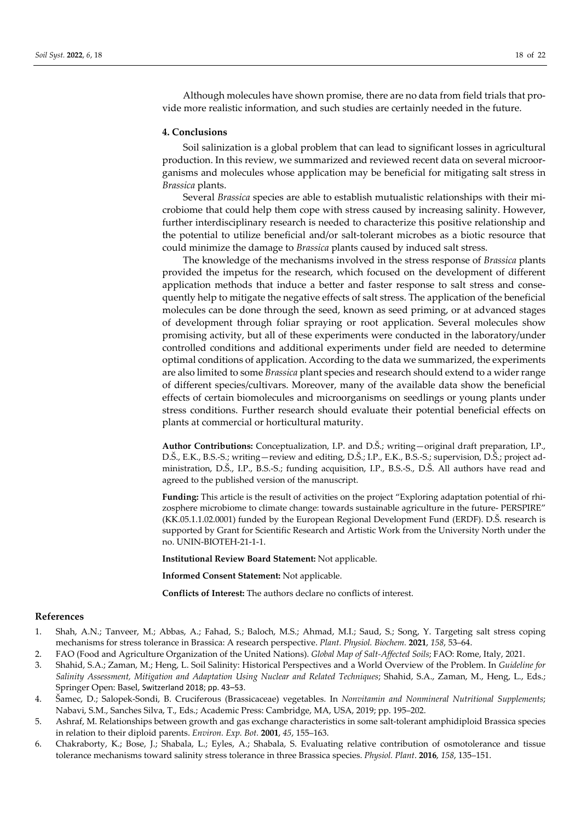Although molecules have shown promise, there are no data from field trials that provide more realistic information, and such studies are certainly needed in the future.

#### **4. Conclusions**

Soil salinization is a global problem that can lead to significant losses in agricultural production. In this review, we summarized and reviewed recent data on several microorganisms and molecules whose application may be beneficial for mitigating salt stress in *Brassica* plants.

Several *Brassica* species are able to establish mutualistic relationships with their microbiome that could help them cope with stress caused by increasing salinity. However, further interdisciplinary research is needed to characterize this positive relationship and the potential to utilize beneficial and/or salt-tolerant microbes as a biotic resource that could minimize the damage to *Brassica* plants caused by induced salt stress.

The knowledge of the mechanisms involved in the stress response of *Brassica* plants provided the impetus for the research, which focused on the development of different application methods that induce a better and faster response to salt stress and consequently help to mitigate the negative effects of salt stress. The application of the beneficial molecules can be done through the seed, known as seed priming, or at advanced stages of development through foliar spraying or root application. Several molecules show promising activity, but all of these experiments were conducted in the laboratory/under controlled conditions and additional experiments under field are needed to determine optimal conditions of application. According to the data we summarized, the experiments are also limited to some *Brassica* plant species and research should extend to a wider range of different species/cultivars. Moreover, many of the available data show the beneficial effects of certain biomolecules and microorganisms on seedlings or young plants under stress conditions. Further research should evaluate their potential beneficial effects on plants at commercial or horticultural maturity.

**Author Contributions:** Conceptualization, I.P. and D.Š.; writing—original draft preparation, I.P., D.Š., E.K., B.S.-S.; writing—review and editing, D.Š.; I.P., E.K., B.S.-S.; supervision, D.Š.; project administration, D.Š., I.P., B.S.-S.; funding acquisition, I.P., B.S.-S., D.Š. All authors have read and agreed to the published version of the manuscript.

**Funding:** This article is the result of activities on the project "Exploring adaptation potential of rhizosphere microbiome to climate change: towards sustainable agriculture in the future- PERSPIRE" (KK.05.1.1.02.0001) funded by the European Regional Development Fund (ERDF). D.Š. research is supported by Grant for Scientific Research and Artistic Work from the University North under the no. UNIN-BIOTEH-21-1-1.

**Institutional Review Board Statement:** Not applicable.

**Informed Consent Statement:** Not applicable.

**Conflicts of Interest:** The authors declare no conflicts of interest.

#### **References**

- 1. Shah, A.N.; Tanveer, M.; Abbas, A.; Fahad, S.; Baloch, M.S.; Ahmad, M.I.; Saud, S.; Song, Y. Targeting salt stress coping mechanisms for stress tolerance in Brassica: A research perspective. *Plant. Physiol. Biochem.* **2021**, *158*, 53–64.
- 2. FAO (Food and Agriculture Organization of the United Nations). *Global Map of Salt-Affected Soils*; FAO: Rome, Italy, 2021.
- 3. Shahid, S.A.; Zaman, M.; Heng, L. Soil Salinity: Historical Perspectives and a World Overview of the Problem. In *Guideline for Salinity Assessment, Mitigation and Adaptation Using Nuclear and Related Techniques*; Shahid, S.A., Zaman, M., Heng, L., Eds.; Springer Open: Basel, Switzerland 2018; pp. 43–53.
- 4. Šamec, D.; Salopek-Sondi, B. Cruciferous (Brassicaceae) vegetables. In *Nonvitamin and Nonmineral Nutritional Supplements*; Nabavi, S.M., Sanches Silva, T., Eds.; Academic Press: Cambridge, MA, USA, 2019; pp. 195–202.
- 5. Ashraf, M. Relationships between growth and gas exchange characteristics in some salt-tolerant amphidiploid Brassica species in relation to their diploid parents. *Environ. Exp. Bot.* **2001**, *45*, 155–163.
- 6. Chakraborty, K.; Bose, J.; Shabala, L.; Eyles, A.; Shabala, S. Evaluating relative contribution of osmotolerance and tissue tolerance mechanisms toward salinity stress tolerance in three Brassica species. *Physiol. Plant*. **2016**, *158*, 135–151.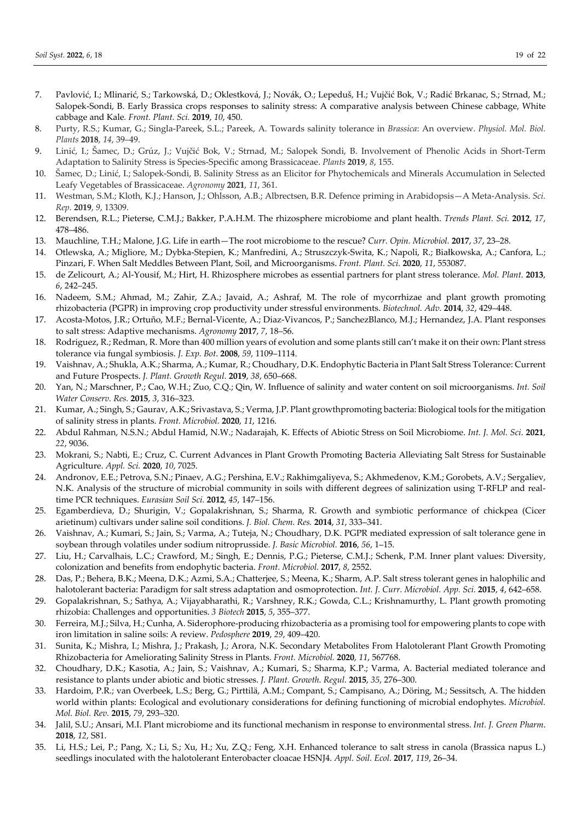- 7. Pavlović, I.; Mlinarić, S.; Tarkowská, D.; Oklestková, J.; Novák, O.; Lepeduš, H.; Vujčić Bok, V.; Radić Brkanac, S.; Strnad, M.; Salopek-Sondi, B. Early Brassica crops responses to salinity stress: A comparative analysis between Chinese cabbage, White cabbage and Kale*. Front. Plant. Sci.* **2019**, *10*, 450.
- 8. Purty, R.S.; Kumar, G.; Singla-Pareek, S.L.; Pareek, A. Towards salinity tolerance in *Brassica*: An overview. *Physiol. Mol. Biol. Plants* **2018**, *14*, 39–49.
- 9. Linić, I.; Šamec, D.; Grúz, J.; Vujčić Bok, V.; Strnad, M.; Salopek Sondi, B. Involvement of Phenolic Acids in Short-Term Adaptation to Salinity Stress is Species-Specific among Brassicaceae. *Plants* **2019**, *8*, 155.
- 10. Šamec, D.; Linić, I.; Salopek-Sondi, B. Salinity Stress as an Elicitor for Phytochemicals and Minerals Accumulation in Selected Leafy Vegetables of Brassicaceae. *Agronomy* **2021**, *11*, 361.
- 11. Westman, S.M.; Kloth, K.J.; Hanson, J.; Ohlsson, A.B.; Albrectsen, B.R. Defence priming in Arabidopsis—A Meta-Analysis. *Sci. Rep*. **2019**, *9*, 13309.
- 12. Berendsen, R.L.; Pieterse, C.M.J.; Bakker, P.A.H.M. The rhizosphere microbiome and plant health. *Trends Plant. Sci.* **2012**, *17*, 478–486.
- 13. Mauchline, T.H.; Malone, J.G. Life in earth—The root microbiome to the rescue? *Curr. Opin. Microbiol.* **2017**, *37*, 23–28.
- 14. Otlewska, A.; Migliore, M.; Dybka-Stepien, K.; Manfredini, A.; Struszczyk-Swita, K.; Napoli, R.; Białkowska, A.; Canfora, L.; Pinzari, F. When Salt Meddles Between Plant, Soil, and Microorganisms. *Front. Plant. Sci.* **2020**, *11*, 553087.
- 15. de Zelicourt, A.; Al-Yousif, M.; Hirt, H. Rhizosphere microbes as essential partners for plant stress tolerance. *Mol. Plant.* **2013**, *6*, 242–245.
- 16. Nadeem, S.M.; Ahmad, M.; Zahir, Z.A.; Javaid, A.; Ashraf, M. The role of mycorrhizae and plant growth promoting rhizobacteria (PGPR) in improving crop productivity under stressful environments. *Biotechnol. Adv.* **2014**, *32*, 429–448.
- 17. Acosta-Motos, J.R.; Ortuño, M.F.; Bernal-Vicente, A.; Diaz-Vivancos, P.; SanchezBlanco, M.J.; Hernandez, J.A. Plant responses to salt stress: Adaptive mechanisms. *Agronomy* **2017**, *7*, 18–56.
- 18. Rodriguez, R.; Redman, R. More than 400 million years of evolution and some plants still can't make it on their own: Plant stress tolerance via fungal symbiosis. *J. Exp. Bot*. **2008**, *59*, 1109–1114.
- 19. Vaishnav, A.; Shukla, A.K.; Sharma, A.; Kumar, R.; Choudhary, D.K. Endophytic Bacteria in Plant Salt Stress Tolerance: Current and Future Prospects. *J. Plant. Growth Regul.* **2019**, *38*, 650–668.
- 20. Yan, N.; Marschner, P.; Cao, W.H.; Zuo, C.Q.; Qin, W. Influence of salinity and water content on soil microorganisms. *Int. Soil Water Conserv. Res.* **2015**, *3*, 316–323.
- 21. Kumar, A.; Singh, S.; Gaurav, A.K.; Srivastava, S.; Verma, J.P. Plant growthpromoting bacteria: Biological tools for the mitigation of salinity stress in plants. *Front. Microbiol.* **2020**, *11*, 1216.
- 22. Abdul Rahman, N.S.N.; Abdul Hamid, N.W.; Nadarajah, K. Effects of Abiotic Stress on Soil Microbiome. *Int. J. Mol. Sci*. **2021**, *22*, 9036.
- 23. Mokrani, S.; Nabti, E.; Cruz, C. Current Advances in Plant Growth Promoting Bacteria Alleviating Salt Stress for Sustainable Agriculture. *Appl. Sci.* **2020**, *10*, 7025.
- 24. Andronov, E.E.; Petrova, S.N.; Pinaev, A.G.; Pershina, E.V.; Rakhimgaliyeva, S.; Akhmedenov, K.M.; Gorobets, A.V.; Sergaliev, N.K. Analysis of the structure of microbial community in soils with different degrees of salinization using T-RFLP and realtime PCR techniques. *Eurasian Soil Sci.* **2012**, *45*, 147–156.
- 25. Egamberdieva, D.; Shurigin, V.; Gopalakrishnan, S.; Sharma, R. Growth and symbiotic performance of chickpea (Cicer arietinum) cultivars under saline soil conditions. *J. Biol. Chem. Res.* **2014**, *31*, 333–341.
- 26. Vaishnav, A.; Kumari, S.; Jain, S.; Varma, A.; Tuteja, N.; Choudhary, D.K. PGPR mediated expression of salt tolerance gene in soybean through volatiles under sodium nitroprusside. *J. Basic Microbiol.* **2016**, *56*, 1–15.
- 27. Liu, H.; Carvalhais, L.C.; Crawford, M.; Singh, E.; Dennis, P.G.; Pieterse, C.M.J.; Schenk, P.M. Inner plant values: Diversity, colonization and benefits from endophytic bacteria. *Front. Microbiol.* **2017**, *8*, 2552.
- 28. Das, P.; Behera, B.K.; Meena, D.K.; Azmi, S.A.; Chatterjee, S.; Meena, K.; Sharm, A.P. Salt stress tolerant genes in halophilic and halotolerant bacteria: Paradigm for salt stress adaptation and osmoprotection. *Int. J. Curr. Microbiol. App. Sci.* **2015**, *4*, 642–658.
- 29. Gopalakrishnan, S.; Sathya, A.; Vijayabharathi, R.; Varshney, R.K.; Gowda, C.L.; Krishnamurthy, L. Plant growth promoting rhizobia: Challenges and opportunities. *3 Biotech* **2015**, *5*, 355–377.
- 30. Ferreira, M.J.; Silva, H.; Cunha, A. Siderophore-producing rhizobacteria as a promising tool for empowering plants to cope with iron limitation in saline soils: A review. *Pedosphere* **2019**, *29*, 409–420.
- 31. Sunita, K.; Mishra, I.; Mishra, J.; Prakash, J.; Arora, N.K. Secondary Metabolites From Halotolerant Plant Growth Promoting Rhizobacteria for Ameliorating Salinity Stress in Plants. *Front. Microbiol.* **2020**, *11*, 567768.
- 32. Choudhary, D.K.; Kasotia, A.; Jain, S.; Vaishnav, A.; Kumari, S.; Sharma, K.P.; Varma, A. Bacterial mediated tolerance and resistance to plants under abiotic and biotic stresses. *J. Plant. Growth. Regul.* **2015**, *35*, 276–300.
- 33. Hardoim, P.R.; van Overbeek, L.S.; Berg, G.; Pirttilä, A.M.; Compant, S.; Campisano, A.; Döring, M.; Sessitsch, A. The hidden world within plants: Ecological and evolutionary considerations for defining functioning of microbial endophytes. *Microbiol. Mol. Biol. Rev.* **2015**, *79*, 293–320.
- 34. Jalil, S.U.; Ansari, M.I. Plant microbiome and its functional mechanism in response to environmental stress. *Int. J. Green Pharm*. **2018**, *12*, S81.
- 35. Li, H.S.; Lei, P.; Pang, X.; Li, S.; Xu, H.; Xu, Z.Q.; Feng, X.H. Enhanced tolerance to salt stress in canola (Brassica napus L.) seedlings inoculated with the halotolerant Enterobacter cloacae HSNJ4. *Appl. Soil. Ecol.* **2017**, *119*, 26–34.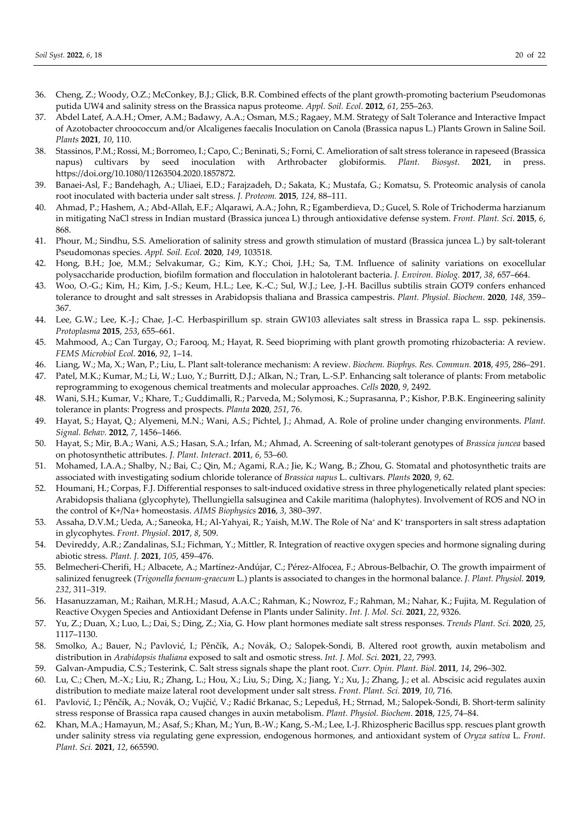- 36. Cheng, Z.; Woody, O.Z.; McConkey, B.J.; Glick, B.R. Combined effects of the plant growth-promoting bacterium Pseudomonas putida UW4 and salinity stress on the Brassica napus proteome. *Appl. Soil. Ecol*. **2012**, *61*, 255–263.
- 37. Abdel Latef, A.A.H.; Omer, A.M.; Badawy, A.A.; Osman, M.S.; Ragaey, M.M. Strategy of Salt Tolerance and Interactive Impact of Azotobacter chroococcum and/or Alcaligenes faecalis Inoculation on Canola (Brassica napus L.) Plants Grown in Saline Soil. *Plants* **2021**, *10*, 110.
- 38. Stassinos, P.M.; Rossi, M.; Borromeo, I.; Capo, C.; Beninati, S.; Forni, C. Amelioration of salt stress tolerance in rapeseed (Brassica napus) cultivars by seed inoculation with Arthrobacter globiformis. *Plant. Biosyst*. **2021**, in press. https://doi.org/10.1080/11263504.2020.1857872.
- 39. Banaei-Asl, F.; Bandehagh, A.; Uliaei, E.D.; Farajzadeh, D.; Sakata, K.; Mustafa, G.; Komatsu, S. Proteomic analysis of canola root inoculated with bacteria under salt stress. *J. Proteom.* **2015**, *124*, 88–111.
- 40. Ahmad, P.; Hashem, A.; Abd-Allah, E.F.; Alqarawi, A.A.; John, R.; Egamberdieva, D.; Gucel, S. Role of Trichoderma harzianum in mitigating NaCl stress in Indian mustard (Brassica juncea L) through antioxidative defense system. *Front. Plant. Sci*. **2015**, *6*, 868.
- 41. Phour, M.; Sindhu, S.S. Amelioration of salinity stress and growth stimulation of mustard (Brassica juncea L.) by salt-tolerant Pseudomonas species. *Appl. Soil. Ecol.* **2020**, *149*, 103518.
- 42. Hong, B.H.; Joe, M.M.; Selvakumar, G.; Kim, K.Y.; Choi, J.H.; Sa, T.M. Influence of salinity variations on exocellular polysaccharide production, biofilm formation and flocculation in halotolerant bacteria. *J. Environ. Biolog.* **2017**, *38*, 657–664.
- 43. Woo, O.-G.; Kim, H.; Kim, J.-S.; Keum, H.L.; Lee, K.-C.; Sul, W.J.; Lee, J.-H. Bacillus subtilis strain GOT9 confers enhanced tolerance to drought and salt stresses in Arabidopsis thaliana and Brassica campestris. *Plant. Physiol. Biochem*. **2020**, *148*, 359– 367.
- 44. Lee, G.W.; Lee, K.-J.; Chae, J.-C. Herbaspirillum sp. strain GW103 alleviates salt stress in Brassica rapa L. ssp. pekinensis. *Protoplasma* **2015**, *253*, 655–661.
- 45. Mahmood, A.; Can Turgay, O.; Farooq, M.; Hayat, R. Seed biopriming with plant growth promoting rhizobacteria: A review. *FEMS Microbiol Ecol*. **2016**, *92*, 1–14.
- 46. Liang, W.; Ma, X.; Wan, P.; Liu, L. Plant salt-tolerance mechanism: A review. *Biochem. Biophys. Res. Commun.* **2018**, *495*, 286–291.
- 47. Patel, M.K.; Kumar, M.; Li, W.; Luo, Y.; Burritt, D.J.; Alkan, N.; Tran, L.-S.P. Enhancing salt tolerance of plants: From metabolic reprogramming to exogenous chemical treatments and molecular approaches. *Cells* **2020**, *9*, 2492.
- 48. Wani, S.H.; Kumar, V.; Khare, T.; Guddimalli, R.; Parveda, M.; Solymosi, K.; Suprasanna, P.; Kishor, P.B.K. Engineering salinity tolerance in plants: Progress and prospects. *Planta* **2020**, *251*, 76.
- 49. Hayat, S.; Hayat, Q.; Alyemeni, M.N.; Wani, A.S.; Pichtel, J.; Ahmad, A. Role of proline under changing environments. *Plant. Signal. Behav.* **2012**, *7*, 1456–1466.
- 50. Hayat, S.; Mir, B.A.; Wani, A.S.; Hasan, S.A.; Irfan, M.; Ahmad, A. Screening of salt-tolerant genotypes of *Brassica juncea* based on photosynthetic attributes. *J. Plant. Interact*. **2011**, *6*, 53–60.
- 51. Mohamed, I.A.A.; Shalby, N.; Bai, C.; Qin, M.; Agami, R.A.; Jie, K.; Wang, B.; Zhou, G. Stomatal and photosynthetic traits are associated with investigating sodium chloride tolerance of *Brassica napus* L. cultivars. *Plants* **2020**, *9*, 62.
- 52. Houmani, H.; Corpas, F.J. Differential responses to salt-induced oxidative stress in three phylogenetically related plant species: Arabidopsis thaliana (glycophyte), Thellungiella salsuginea and Cakile maritima (halophytes). Involvement of ROS and NO in the control of K+/Na+ homeostasis. *AIMS Biophysics* **2016**, *3*, 380–397.
- 53. Assaha, D.V.M.; Ueda, A.; Saneoka, H.; Al-Yahyai, R.; Yaish, M.W. The Role of Na+ and K+ transporters in salt stress adaptation in glycophytes. *Front. Physiol*. **2017**, *8*, 509.
- 54. Devireddy, A.R.; Zandalinas, S.I.; Fichman, Y.; Mittler, R. Integration of reactive oxygen species and hormone signaling during abiotic stress. *Plant. J.* **2021**, *105*, 459–476.
- 55. Belmecheri-Cherifi, H.; Albacete, A.; Martínez-Andújar, C.; Pérez-Alfocea, F.; Abrous-Belbachir, O. The growth impairment of salinized fenugreek (*Trigonella foenum-graecum* L.) plants is associated to changes in the hormonal balance. *J. Plant. Physiol.* **2019**, *232*, 311–319.
- 56. Hasanuzzaman, M.; Raihan, M.R.H.; Masud, A.A.C.; Rahman, K.; Nowroz, F.; Rahman, M.; Nahar, K.; Fujita, M. Regulation of Reactive Oxygen Species and Antioxidant Defense in Plants under Salinity. *Int. J. Mol. Sci.* **2021**, *22*, 9326.
- 57. Yu, Z.; Duan, X.; Luo, L.; Dai, S.; Ding, Z.; Xia, G. How plant hormones mediate salt stress responses. *Trends Plant. Sci.* **2020**, *25*, 1117–1130.
- 58. Smolko, A.; Bauer, N.; Pavlović, I.; Pěnčík, A.; Novák, O.; Salopek-Sondi, B. Altered root growth, auxin metabolism and distribution in *Arabidopsis thaliana* exposed to salt and osmotic stress. *Int. J. Mol. Sci.* **2021**, *22*, 7993.
- 59. Galvan-Ampudia, C.S.; Testerink, C. Salt stress signals shape the plant root. *Curr. Opin. Plant. Biol.* **2011**, *14*, 296–302.
- 60. Lu, C.; Chen, M.-X.; Liu, R.; Zhang, L.; Hou, X.; Liu, S.; Ding, X.; Jiang, Y.; Xu, J.; Zhang, J.; et al. Abscisic acid regulates auxin distribution to mediate maize lateral root development under salt stress. *Front. Plant. Sci.* **2019**, *10*, 716.
- 61. Pavlović, I.; Pěnčík, A.; Novák, O.; Vujčić, V.; Radić Brkanac, S.; Lepeduš, H.; Strnad, M.; Salopek-Sondi, B. Short-term salinity stress response of Brassica rapa caused changes in auxin metabolism. *Plant. Physiol. Biochem*. **2018**, *125*, 74–84.
- 62. Khan, M.A.; Hamayun, M.; Asaf, S.; Khan, M.; Yun, B.-W.; Kang, S.-M.; Lee, I.-J. Rhizospheric Bacillus spp. rescues plant growth under salinity stress via regulating gene expression, endogenous hormones, and antioxidant system of *Oryza sativa* L. *Front. Plant. Sci.* **2021**, *12*, 665590.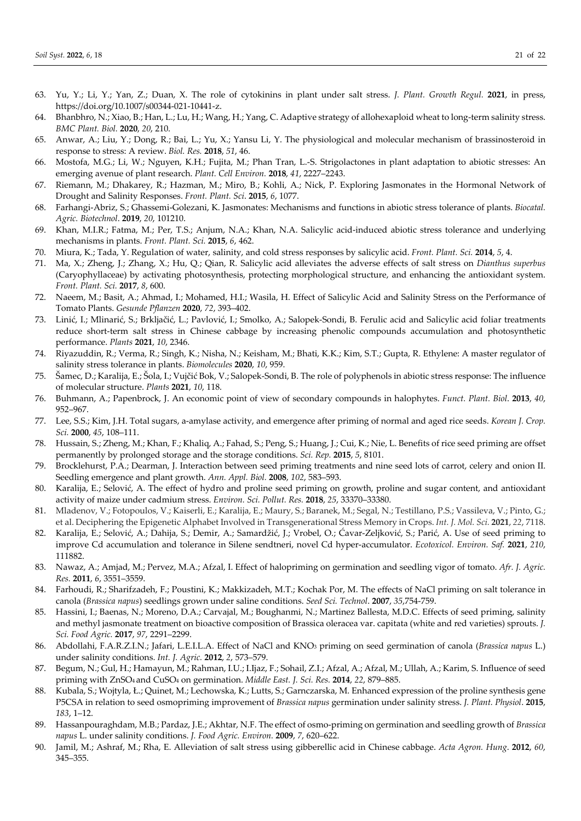- 63. Yu, Y.; Li, Y.; Yan, Z.; Duan, X. The role of cytokinins in plant under salt stress. *J. Plant. Growth Regul.* **2021**, in press, https://doi.org/10.1007/s00344-021-10441-z.
- 64. Bhanbhro, N.; Xiao, B.; Han, L.; Lu, H.; Wang, H.; Yang, C. Adaptive strategy of allohexaploid wheat to long-term salinity stress. *BMC Plant. Biol.* **2020**, *20*, 210.
- 65. Anwar, A.; Liu, Y.; Dong, R.; Bai, L.; Yu, X.; Yansu Li, Y. The physiological and molecular mechanism of brassinosteroid in response to stress: A review. *Biol. Res.* **2018**, *51*, 46.
- 66. Mostofa, M.G.; Li, W.; Nguyen, K.H.; Fujita, M.; Phan Tran, L.-S. Strigolactones in plant adaptation to abiotic stresses: An emerging avenue of plant research. *Plant. Cell Environ.* **2018**, *41*, 2227–2243.
- 67. Riemann, M.; Dhakarey, R.; Hazman, M.; Miro, B.; Kohli, A.; Nick, P. Exploring Jasmonates in the Hormonal Network of Drought and Salinity Responses. *Front. Plant. Sci*. **2015**, *6*, 1077.
- 68. Farhangi-Abriz, S.; Ghassemi-Golezani, K. Jasmonates: Mechanisms and functions in abiotic stress tolerance of plants. *Biocatal. Agric. Biotechnol*. **2019**, *20*, 101210.
- 69. Khan, M.I.R.; Fatma, M.; Per, T.S.; Anjum, N.A.; Khan, N.A. Salicylic acid-induced abiotic stress tolerance and underlying mechanisms in plants. *Front. Plant. Sci.* **2015**, *6*, 462.
- 70. Miura, K.; Tada, Y. Regulation of water, salinity, and cold stress responses by salicylic acid. *Front. Plant. Sci.* **2014**, *5*, 4.
- 71. Ma, X.; Zheng, J.; Zhang, X.; Hu, Q.; Qian, R. Salicylic acid alleviates the adverse effects of salt stress on *Dianthus superbus* (Caryophyllaceae) by activating photosynthesis, protecting morphological structure, and enhancing the antioxidant system. *Front. Plant. Sci.* **2017**, *8*, 600.
- 72. Naeem, M.; Basit, A.; Ahmad, I.; Mohamed, H.I.; Wasila, H. Effect of Salicylic Acid and Salinity Stress on the Performance of Tomato Plants. *Gesunde Pflanzen* **2020**, *72*, 393–402.
- 73. Linić, I.; Mlinarić, S.; Brkljačić, L.; Pavlović, I.; Smolko, A.; Salopek-Sondi, B. Ferulic acid and Salicylic acid foliar treatments reduce short-term salt stress in Chinese cabbage by increasing phenolic compounds accumulation and photosynthetic performance. *Plants* **2021**, *10*, 2346.
- 74. Riyazuddin, R.; Verma, R.; Singh, K.; Nisha, N.; Keisham, M.; Bhati, K.K.; Kim, S.T.; Gupta, R. Ethylene: A master regulator of salinity stress tolerance in plants. *Biomolecules* **2020**, *10*, 959.
- 75. Šamec, D.; Karalija, E.; Šola, I.; Vujčić Bok, V.; Salopek-Sondi, B. The role of polyphenols in abiotic stress response: The influence of molecular structure. *Plants* **2021**, *10*, 118.
- 76. Buhmann, A.; Papenbrock, J. An economic point of view of secondary compounds in halophytes. *Funct. Plant. Biol*. **2013**, *40*, 952–967.
- 77. Lee, S.S.; Kim, J.H. Total sugars, a-amylase activity, and emergence after priming of normal and aged rice seeds. *Korean J. Crop. Sci.* **2000**, *45*, 108–111.
- 78. Hussain, S.; Zheng, M.; Khan, F.; Khaliq, A.; Fahad, S.; Peng, S.; Huang, J.; Cui, K.; Nie, L. Benefits of rice seed priming are offset permanently by prolonged storage and the storage conditions. *Sci. Rep.* **2015**, *5*, 8101.
- 79. Brocklehurst, P.A.; Dearman, J. Interaction between seed priming treatments and nine seed lots of carrot, celery and onion II. Seedling emergence and plant growth. *Ann. Appl. Biol.* **2008**, *102*, 583–593.
- 80. Karalija, E.; Selović, A. The effect of hydro and proline seed priming on growth, proline and sugar content, and antioxidant activity of maize under cadmium stress. *Environ. Sci. Pollut. Res.* **2018**, *25*, 33370–33380.
- 81. Mladenov, V.; Fotopoulos, V.; Kaiserli, E.; Karalija, E.; Maury, S.; Baranek, M.; Segal, N.; Testillano, P.S.; Vassileva, V.; Pinto, G.; et al. Deciphering the Epigenetic Alphabet Involved in Transgenerational Stress Memory in Crops. *Int. J. Mol. Sci.* **2021**, *22*, 7118.
- 82. Karalija, E.; Selović, A.; Dahija, S.; Demir, A.; Samardžić, J.; Vrobel, O.; Ćavar-Zeljković, S.; Parić, A. Use of seed priming to improve Cd accumulation and tolerance in Silene sendtneri, novel Cd hyper-accumulator. *Ecotoxicol. Environ. Saf.* **2021**, *210*, 111882.
- 83. Nawaz, A.; Amjad, M.; Pervez, M.A.; Afzal, I. Effect of halopriming on germination and seedling vigor of tomato. *Afr. J. Agric. Res.* **2011**, *6*, 3551–3559.
- 84. Farhoudi, R.; Sharifzadeh, F.; Poustini, K.; Makkizadeh, M.T.; Kochak Por, M. The effects of NaCl priming on salt tolerance in canola (*Brassica napus*) seedlings grown under saline conditions. *Seed Sci. Technol*. **2007**, *35*,754-759.
- 85. Hassini, I.; Baenas, N.; Moreno, D.A.; Carvajal, M.; Boughanmi, N.; Martinez Ballesta, M.D.C. Effects of seed priming, salinity and methyl jasmonate treatment on bioactive composition of Brassica oleracea var. capitata (white and red varieties) sprouts. *J. Sci. Food Agric.* **2017**, *97*, 2291–2299.
- 86. Abdollahi, F.A.R.Z.I.N.; Jafari, L.E.I.L.A. Effect of NaCl and KNO3 priming on seed germination of canola (*Brassica napus* L.) under salinity conditions. *Int. J. Agric.* **2012**, *2*, 573–579.
- 87. Begum, N.; Gul, H.; Hamayun, M.; Rahman, I.U.; I.Ijaz, F.; Sohail, Z.I.; Afzal, A.; Afzal, M.; Ullah, A.; Karim, S. Influence of seed priming with ZnSO4 and CuSO4 on germination. *Middle East. J. Sci. Res.* **2014**, *22*, 879–885.
- 88. Kubala, S.; Wojtyla, Ł.; Quinet, M.; Lechowska, K.; Lutts, S.; Garnczarska, M. Enhanced expression of the proline synthesis gene P5CSA in relation to seed osmopriming improvement of *Brassica napus* germination under salinity stress. *J. Plant. Physiol*. **2015**, *183*, 1–12.
- 89. Hassanpouraghdam, M.B.; Pardaz, J.E.; Akhtar, N.F. The effect of osmo-priming on germination and seedling growth of *Brassica napus* L. under salinity conditions. *J. Food Agric. Environ.* **2009**, *7*, 620–622.
- 90. Jamil, M.; Ashraf, M.; Rha, E. Alleviation of salt stress using gibberellic acid in Chinese cabbage. *Acta Agron. Hung*. **2012**, *60*, 345–355.